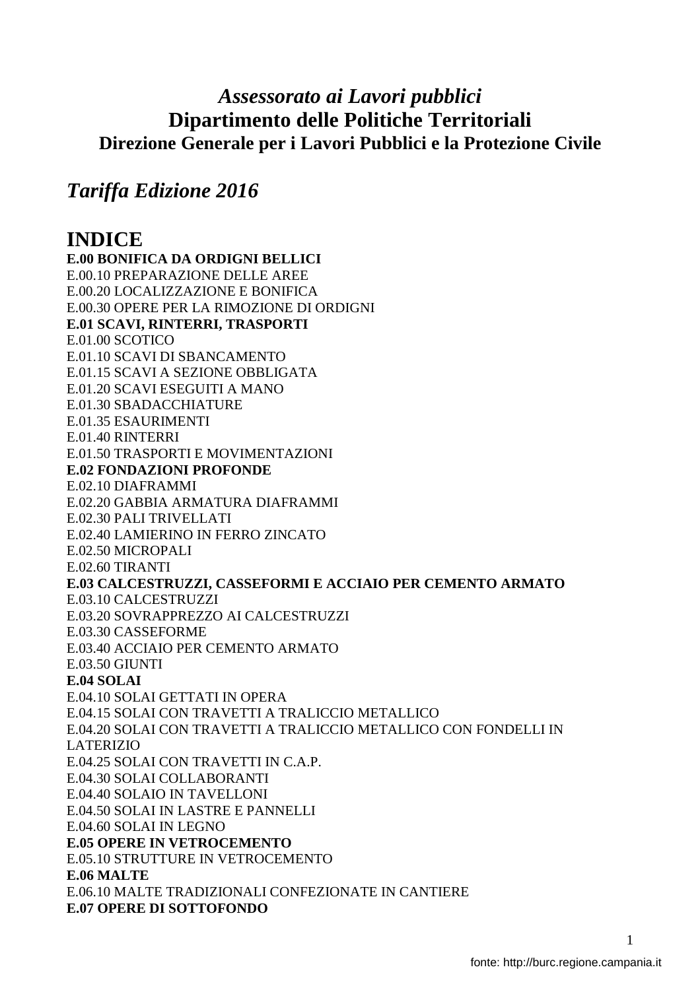# *Assessorato ai Lavori pubblici*  **Dipartimento delle Politiche Territoriali Direzione Generale per i Lavori Pubblici e la Protezione Civile**

# *Tariffa Edizione 2016*

# **INDICE**

**E.00 BONIFICA DA ORDIGNI BELLICI**  E.00.10 PREPARAZIONE DELLE AREE E.00.20 LOCALIZZAZIONE E BONIFICA E.00.30 OPERE PER LA RIMOZIONE DI ORDIGNI **E.01 SCAVI, RINTERRI, TRASPORTI**  E.01.00 SCOTICO E.01.10 SCAVI DI SBANCAMENTO E.01.15 SCAVI A SEZIONE OBBLIGATA E.01.20 SCAVI ESEGUITI A MANO E.01.30 SBADACCHIATURE E.01.35 ESAURIMENTI E.01.40 RINTERRI E.01.50 TRASPORTI E MOVIMENTAZIONI **E.02 FONDAZIONI PROFONDE**  E.02.10 DIAFRAMMI E.02.20 GABBIA ARMATURA DIAFRAMMI E.02.30 PALI TRIVELLATI E.02.40 LAMIERINO IN FERRO ZINCATO E.02.50 MICROPALI E.02.60 TIRANTI **E.03 CALCESTRUZZI, CASSEFORMI E ACCIAIO PER CEMENTO ARMATO**  E.03.10 CALCESTRUZZI E.03.20 SOVRAPPREZZO AI CALCESTRUZZI E.03.30 CASSEFORME E.03.40 ACCIAIO PER CEMENTO ARMATO E.03.50 GIUNTI **E.04 SOLAI**  E.04.10 SOLAI GETTATI IN OPERA E.04.15 SOLAI CON TRAVETTI A TRALICCIO METALLICO E.04.20 SOLAI CON TRAVETTI A TRALICCIO METALLICO CON FONDELLI IN LATERIZIO E.04.25 SOLAI CON TRAVETTI IN C.A.P. E.04.30 SOLAI COLLABORANTI E.04.40 SOLAIO IN TAVELLONI E.04.50 SOLAI IN LASTRE E PANNELLI E.04.60 SOLAI IN LEGNO **E.05 OPERE IN VETROCEMENTO**  E.05.10 STRUTTURE IN VETROCEMENTO **E.06 MALTE**  E.06.10 MALTE TRADIZIONALI CONFEZIONATE IN CANTIERE **E.07 OPERE DI SOTTOFONDO**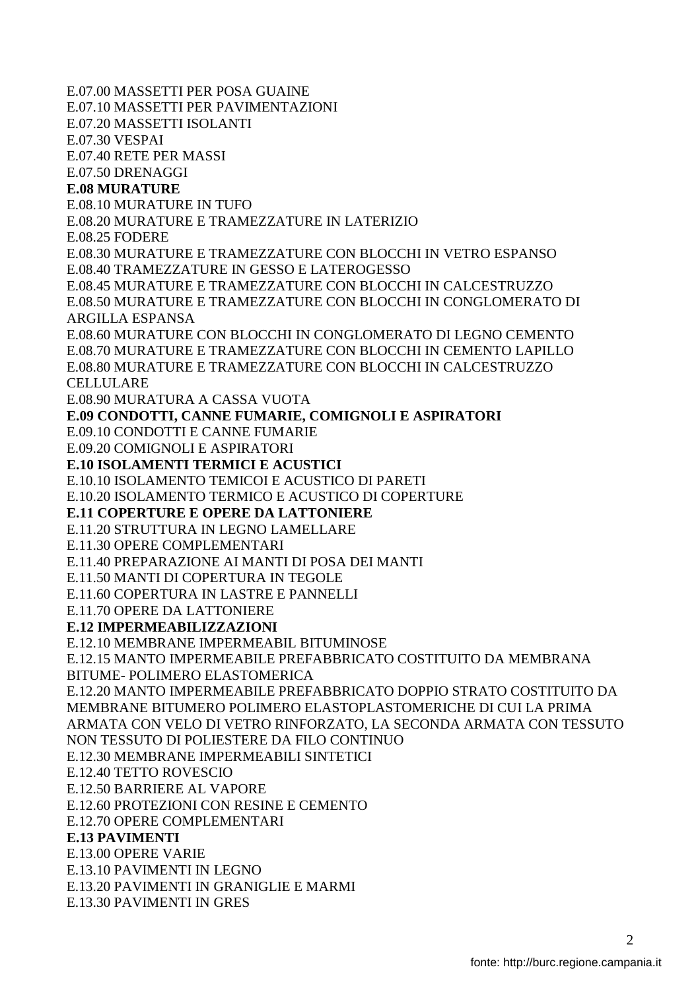E.07.00 MASSETTI PER POSA GUAINE E.07.10 MASSETTI PER PAVIMENTAZIONI E.07.20 MASSETTI ISOLANTI E.07.30 VESPAI E.07.40 RETE PER MASSI E.07.50 DRENAGGI **E.08 MURATURE**  E.08.10 MURATURE IN TUFO E.08.20 MURATURE E TRAMEZZATURE IN LATERIZIO E.08.25 FODERE E.08.30 MURATURE E TRAMEZZATURE CON BLOCCHI IN VETRO ESPANSO E.08.40 TRAMEZZATURE IN GESSO E LATEROGESSO E.08.45 MURATURE E TRAMEZZATURE CON BLOCCHI IN CALCESTRUZZO E.08.50 MURATURE E TRAMEZZATURE CON BLOCCHI IN CONGLOMERATO DI ARGILLA ESPANSA E.08.60 MURATURE CON BLOCCHI IN CONGLOMERATO DI LEGNO CEMENTO E.08.70 MURATURE E TRAMEZZATURE CON BLOCCHI IN CEMENTO LAPILLO E.08.80 MURATURE E TRAMEZZATURE CON BLOCCHI IN CALCESTRUZZO CELLULARE E.08.90 MURATURA A CASSA VUOTA **E.09 CONDOTTI, CANNE FUMARIE, COMIGNOLI E ASPIRATORI**  E.09.10 CONDOTTI E CANNE FUMARIE E.09.20 COMIGNOLI E ASPIRATORI **E.10 ISOLAMENTI TERMICI E ACUSTICI**  E.10.10 ISOLAMENTO TEMICOI E ACUSTICO DI PARETI E.10.20 ISOLAMENTO TERMICO E ACUSTICO DI COPERTURE **E.11 COPERTURE E OPERE DA LATTONIERE**  E.11.20 STRUTTURA IN LEGNO LAMELLARE E.11.30 OPERE COMPLEMENTARI E.11.40 PREPARAZIONE AI MANTI DI POSA DEI MANTI E.11.50 MANTI DI COPERTURA IN TEGOLE E.11.60 COPERTURA IN LASTRE E PANNELLI E.11.70 OPERE DA LATTONIERE **E.12 IMPERMEABILIZZAZIONI**  E.12.10 MEMBRANE IMPERMEABIL BITUMINOSE E.12.15 MANTO IMPERMEABILE PREFABBRICATO COSTITUITO DA MEMBRANA BITUME- POLIMERO ELASTOMERICA E.12.20 MANTO IMPERMEABILE PREFABBRICATO DOPPIO STRATO COSTITUITO DA MEMBRANE BITUMERO POLIMERO ELASTOPLASTOMERICHE DI CUI LA PRIMA ARMATA CON VELO DI VETRO RINFORZATO, LA SECONDA ARMATA CON TESSUTO NON TESSUTO DI POLIESTERE DA FILO CONTINUO E.12.30 MEMBRANE IMPERMEABILI SINTETICI E.12.40 TETTO ROVESCIO E.12.50 BARRIERE AL VAPORE E.12.60 PROTEZIONI CON RESINE E CEMENTO E.12.70 OPERE COMPLEMENTARI **E.13 PAVIMENTI**  E.13.00 OPERE VARIE E.13.10 PAVIMENTI IN LEGNO E.13.20 PAVIMENTI IN GRANIGLIE E MARMI E.13.30 PAVIMENTI IN GRES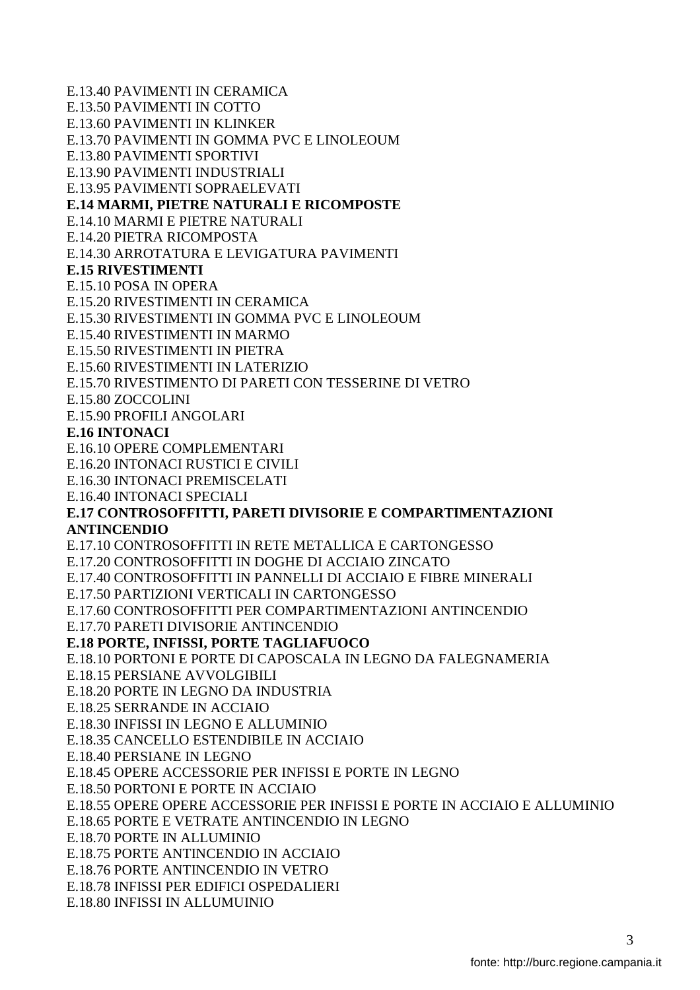E.13.40 PAVIMENTI IN CERAMICA E.13.50 PAVIMENTI IN COTTO E.13.60 PAVIMENTI IN KLINKER E.13.70 PAVIMENTI IN GOMMA PVC E LINOLEOUM E.13.80 PAVIMENTI SPORTIVI E.13.90 PAVIMENTI INDUSTRIALI E.13.95 PAVIMENTI SOPRAELEVATI **E.14 MARMI, PIETRE NATURALI E RICOMPOSTE**  E.14.10 MARMI E PIETRE NATURALI E.14.20 PIETRA RICOMPOSTA E.14.30 ARROTATURA E LEVIGATURA PAVIMENTI **E.15 RIVESTIMENTI**  E.15.10 POSA IN OPERA E.15.20 RIVESTIMENTI IN CERAMICA E.15.30 RIVESTIMENTI IN GOMMA PVC E LINOLEOUM E.15.40 RIVESTIMENTI IN MARMO E.15.50 RIVESTIMENTI IN PIETRA E.15.60 RIVESTIMENTI IN LATERIZIO E.15.70 RIVESTIMENTO DI PARETI CON TESSERINE DI VETRO E.15.80 ZOCCOLINI E.15.90 PROFILI ANGOLARI **E.16 INTONACI**  E.16.10 OPERE COMPLEMENTARI E.16.20 INTONACI RUSTICI E CIVILI E.16.30 INTONACI PREMISCELATI E.16.40 INTONACI SPECIALI **E.17 CONTROSOFFITTI, PARETI DIVISORIE E COMPARTIMENTAZIONI ANTINCENDIO**  E.17.10 CONTROSOFFITTI IN RETE METALLICA E CARTONGESSO E.17.20 CONTROSOFFITTI IN DOGHE DI ACCIAIO ZINCATO E.17.40 CONTROSOFFITTI IN PANNELLI DI ACCIAIO E FIBRE MINERALI E.17.50 PARTIZIONI VERTICALI IN CARTONGESSO E.17.60 CONTROSOFFITTI PER COMPARTIMENTAZIONI ANTINCENDIO E.17.70 PARETI DIVISORIE ANTINCENDIO **E.18 PORTE, INFISSI, PORTE TAGLIAFUOCO**  E.18.10 PORTONI E PORTE DI CAPOSCALA IN LEGNO DA FALEGNAMERIA E.18.15 PERSIANE AVVOLGIBILI E.18.20 PORTE IN LEGNO DA INDUSTRIA E.18.25 SERRANDE IN ACCIAIO E.18.30 INFISSI IN LEGNO E ALLUMINIO E.18.35 CANCELLO ESTENDIBILE IN ACCIAIO E.18.40 PERSIANE IN LEGNO E.18.45 OPERE ACCESSORIE PER INFISSI E PORTE IN LEGNO E.18.50 PORTONI E PORTE IN ACCIAIO E.18.55 OPERE OPERE ACCESSORIE PER INFISSI E PORTE IN ACCIAIO E ALLUMINIO E.18.65 PORTE E VETRATE ANTINCENDIO IN LEGNO E.18.70 PORTE IN ALLUMINIO E.18.75 PORTE ANTINCENDIO IN ACCIAIO E.18.76 PORTE ANTINCENDIO IN VETRO E.18.78 INFISSI PER EDIFICI OSPEDALIERI E.18.80 INFISSI IN ALLUMUINIO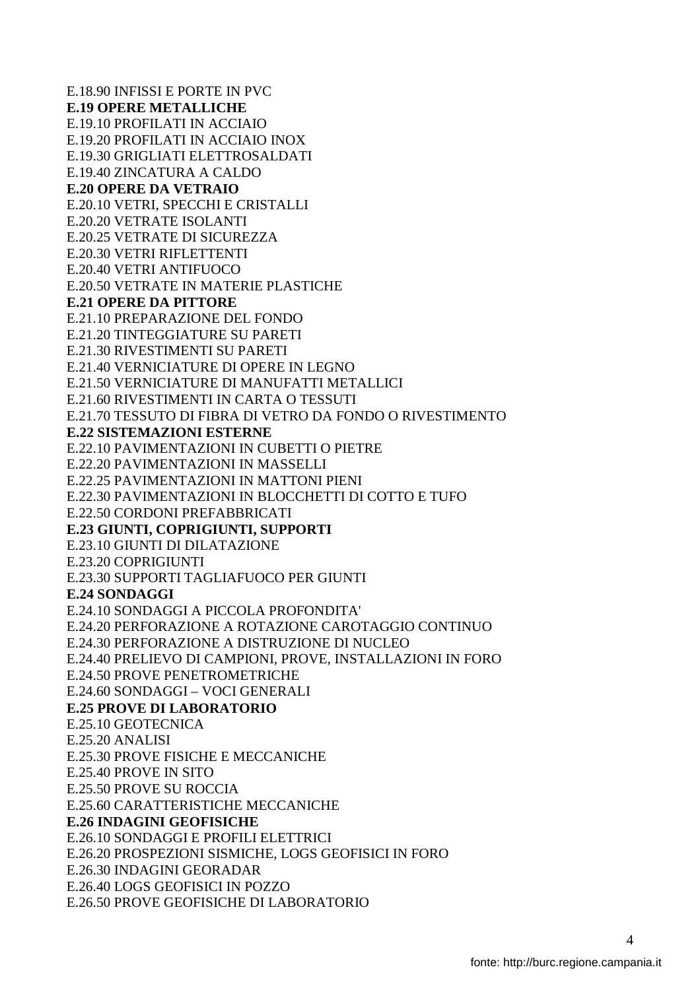E.18.90 INFISSI E PORTE IN PVC **E.19 OPERE METALLICHE**  E.19.10 PROFILATI IN ACCIAIO E.19.20 PROFILATI IN ACCIAIO INOX E.19.30 GRIGLIATI ELETTROSALDATI E.19.40 ZINCATURA A CALDO **E.20 OPERE DA VETRAIO**  E.20.10 VETRI, SPECCHI E CRISTALLI E.20.20 VETRATE ISOLANTI E.20.25 VETRATE DI SICUREZZA E.20.30 VETRI RIFLETTENTI E.20.40 VETRI ANTIFUOCO E.20.50 VETRATE IN MATERIE PLASTICHE **E.21 OPERE DA PITTORE**  E.21.10 PREPARAZIONE DEL FONDO E.21.20 TINTEGGIATURE SU PARETI E.21.30 RIVESTIMENTI SU PARETI E.21.40 VERNICIATURE DI OPERE IN LEGNO E.21.50 VERNICIATURE DI MANUFATTI METALLICI E.21.60 RIVESTIMENTI IN CARTA O TESSUTI E.21.70 TESSUTO DI FIBRA DI VETRO DA FONDO O RIVESTIMENTO **E.22 SISTEMAZIONI ESTERNE**  E.22.10 PAVIMENTAZIONI IN CUBETTI O PIETRE E.22.20 PAVIMENTAZIONI IN MASSELLI E.22.25 PAVIMENTAZIONI IN MATTONI PIENI E.22.30 PAVIMENTAZIONI IN BLOCCHETTI DI COTTO E TUFO E.22.50 CORDONI PREFABBRICATI **E.23 GIUNTI, COPRIGIUNTI, SUPPORTI**  E.23.10 GIUNTI DI DILATAZIONE E.23.20 COPRIGIUNTI E.23.30 SUPPORTI TAGLIAFUOCO PER GIUNTI **E.24 SONDAGGI**  E.24.10 SONDAGGI A PICCOLA PROFONDITA' E.24.20 PERFORAZIONE A ROTAZIONE CAROTAGGIO CONTINUO E.24.30 PERFORAZIONE A DISTRUZIONE DI NUCLEO E.24.40 PRELIEVO DI CAMPIONI, PROVE, INSTALLAZIONI IN FORO E.24.50 PROVE PENETROMETRICHE E.24.60 SONDAGGI – VOCI GENERALI **E.25 PROVE DI LABORATORIO**  E.25.10 GEOTECNICA E.25.20 ANALISI E.25.30 PROVE FISICHE E MECCANICHE E.25.40 PROVE IN SITO E.25.50 PROVE SU ROCCIA E.25.60 CARATTERISTICHE MECCANICHE **E.26 INDAGINI GEOFISICHE**  E.26.10 SONDAGGI E PROFILI ELETTRICI E.26.20 PROSPEZIONI SISMICHE, LOGS GEOFISICI IN FORO E.26.30 INDAGINI GEORADAR E.26.40 LOGS GEOFISICI IN POZZO E.26.50 PROVE GEOFISICHE DI LABORATORIO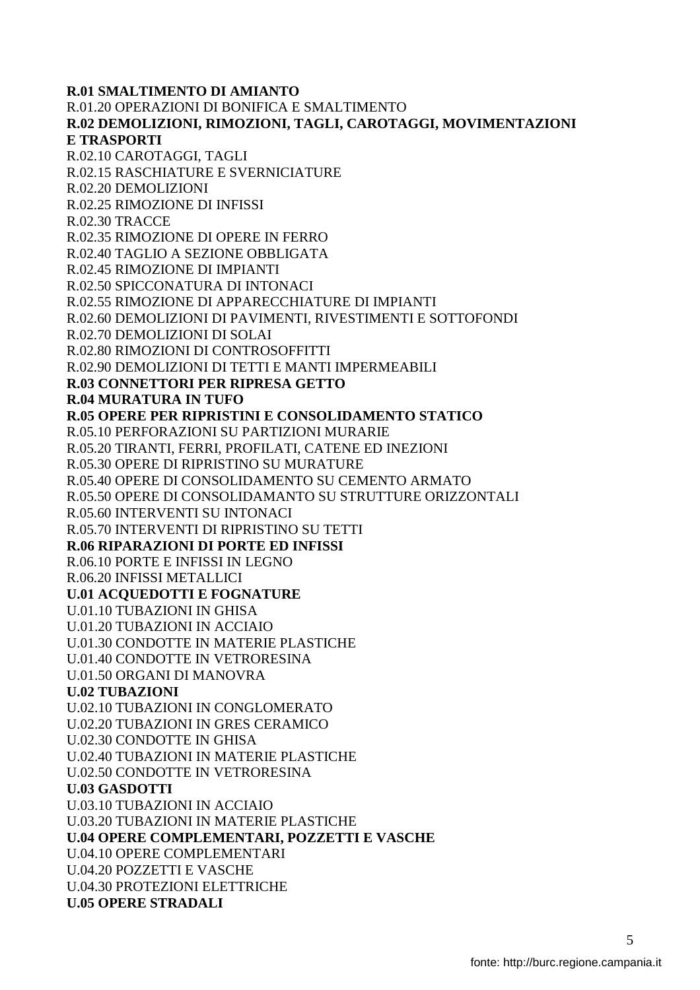**R.01 SMALTIMENTO DI AMIANTO**  R.01.20 OPERAZIONI DI BONIFICA E SMALTIMENTO **R.02 DEMOLIZIONI, RIMOZIONI, TAGLI, CAROTAGGI, MOVIMENTAZIONI E TRASPORTI**  R.02.10 CAROTAGGI, TAGLI R.02.15 RASCHIATURE E SVERNICIATURE R.02.20 DEMOLIZIONI R.02.25 RIMOZIONE DI INFISSI R.02.30 TRACCE R.02.35 RIMOZIONE DI OPERE IN FERRO R.02.40 TAGLIO A SEZIONE OBBLIGATA R.02.45 RIMOZIONE DI IMPIANTI R.02.50 SPICCONATURA DI INTONACI R.02.55 RIMOZIONE DI APPARECCHIATURE DI IMPIANTI R.02.60 DEMOLIZIONI DI PAVIMENTI, RIVESTIMENTI E SOTTOFONDI R.02.70 DEMOLIZIONI DI SOLAI R.02.80 RIMOZIONI DI CONTROSOFFITTI R.02.90 DEMOLIZIONI DI TETTI E MANTI IMPERMEABILI **R.03 CONNETTORI PER RIPRESA GETTO R.04 MURATURA IN TUFO R.05 OPERE PER RIPRISTINI E CONSOLIDAMENTO STATICO**  R.05.10 PERFORAZIONI SU PARTIZIONI MURARIE R.05.20 TIRANTI, FERRI, PROFILATI, CATENE ED INEZIONI R.05.30 OPERE DI RIPRISTINO SU MURATURE R.05.40 OPERE DI CONSOLIDAMENTO SU CEMENTO ARMATO R.05.50 OPERE DI CONSOLIDAMANTO SU STRUTTURE ORIZZONTALI R.05.60 INTERVENTI SU INTONACI R.05.70 INTERVENTI DI RIPRISTINO SU TETTI **R.06 RIPARAZIONI DI PORTE ED INFISSI**  R.06.10 PORTE E INFISSI IN LEGNO R.06.20 INFISSI METALLICI **U.01 ACQUEDOTTI E FOGNATURE**  U.01.10 TUBAZIONI IN GHISA U.01.20 TUBAZIONI IN ACCIAIO U.01.30 CONDOTTE IN MATERIE PLASTICHE U.01.40 CONDOTTE IN VETRORESINA U.01.50 ORGANI DI MANOVRA **U.02 TUBAZIONI**  U.02.10 TUBAZIONI IN CONGLOMERATO U.02.20 TUBAZIONI IN GRES CERAMICO U.02.30 CONDOTTE IN GHISA U.02.40 TUBAZIONI IN MATERIE PLASTICHE U.02.50 CONDOTTE IN VETRORESINA **U.03 GASDOTTI**  U.03.10 TUBAZIONI IN ACCIAIO U.03.20 TUBAZIONI IN MATERIE PLASTICHE **U.04 OPERE COMPLEMENTARI, POZZETTI E VASCHE**  U.04.10 OPERE COMPLEMENTARI U.04.20 POZZETTI E VASCHE U.04.30 PROTEZIONI ELETTRICHE **U.05 OPERE STRADALI**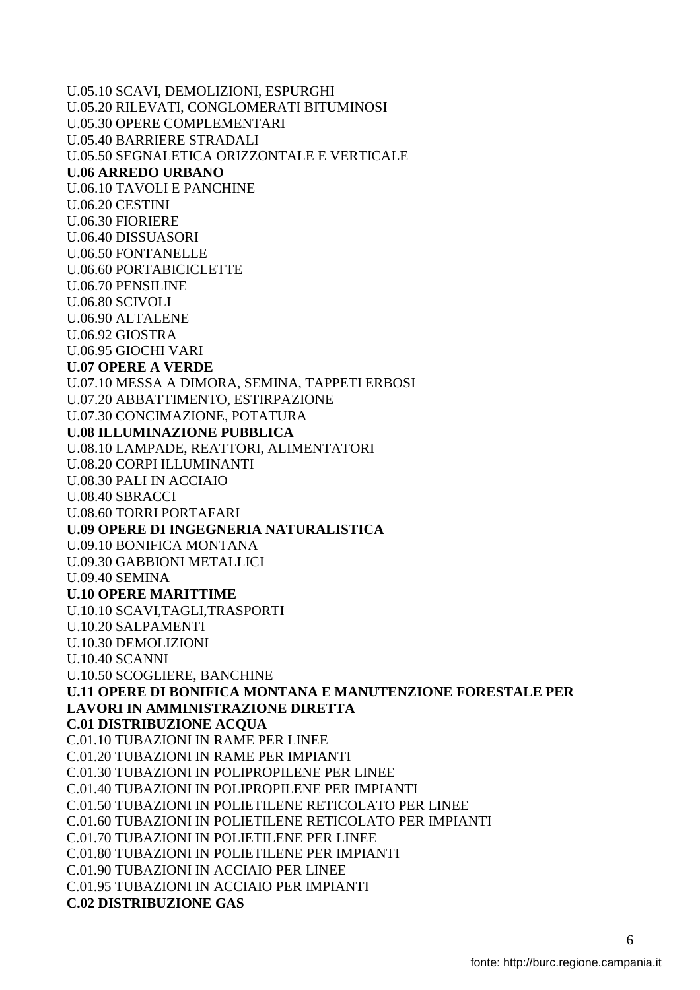U.05.10 SCAVI, DEMOLIZIONI, ESPURGHI U.05.20 RILEVATI, CONGLOMERATI BITUMINOSI U.05.30 OPERE COMPLEMENTARI U.05.40 BARRIERE STRADALI U.05.50 SEGNALETICA ORIZZONTALE E VERTICALE **U.06 ARREDO URBANO**  U.06.10 TAVOLI E PANCHINE U.06.20 CESTINI U.06.30 FIORIERE U.06.40 DISSUASORI U.06.50 FONTANELLE U.06.60 PORTABICICLETTE U.06.70 PENSILINE U.06.80 SCIVOLI U.06.90 ALTALENE U.06.92 GIOSTRA U.06.95 GIOCHI VARI **U.07 OPERE A VERDE**  U.07.10 MESSA A DIMORA, SEMINA, TAPPETI ERBOSI U.07.20 ABBATTIMENTO, ESTIRPAZIONE U.07.30 CONCIMAZIONE, POTATURA **U.08 ILLUMINAZIONE PUBBLICA**  U.08.10 LAMPADE, REATTORI, ALIMENTATORI U.08.20 CORPI ILLUMINANTI U.08.30 PALI IN ACCIAIO U.08.40 SBRACCI U.08.60 TORRI PORTAFARI **U.09 OPERE DI INGEGNERIA NATURALISTICA**  U.09.10 BONIFICA MONTANA U.09.30 GABBIONI METALLICI U.09.40 SEMINA **U.10 OPERE MARITTIME**  U.10.10 SCAVI,TAGLI,TRASPORTI U.10.20 SALPAMENTI U.10.30 DEMOLIZIONI U.10.40 SCANNI U.10.50 SCOGLIERE, BANCHINE **U.11 OPERE DI BONIFICA MONTANA E MANUTENZIONE FORESTALE PER LAVORI IN AMMINISTRAZIONE DIRETTA C.01 DISTRIBUZIONE ACQUA**  C.01.10 TUBAZIONI IN RAME PER LINEE C.01.20 TUBAZIONI IN RAME PER IMPIANTI C.01.30 TUBAZIONI IN POLIPROPILENE PER LINEE C.01.40 TUBAZIONI IN POLIPROPILENE PER IMPIANTI C.01.50 TUBAZIONI IN POLIETILENE RETICOLATO PER LINEE C.01.60 TUBAZIONI IN POLIETILENE RETICOLATO PER IMPIANTI C.01.70 TUBAZIONI IN POLIETILENE PER LINEE C.01.80 TUBAZIONI IN POLIETILENE PER IMPIANTI C.01.90 TUBAZIONI IN ACCIAIO PER LINEE C.01.95 TUBAZIONI IN ACCIAIO PER IMPIANTI **C.02 DISTRIBUZIONE GAS**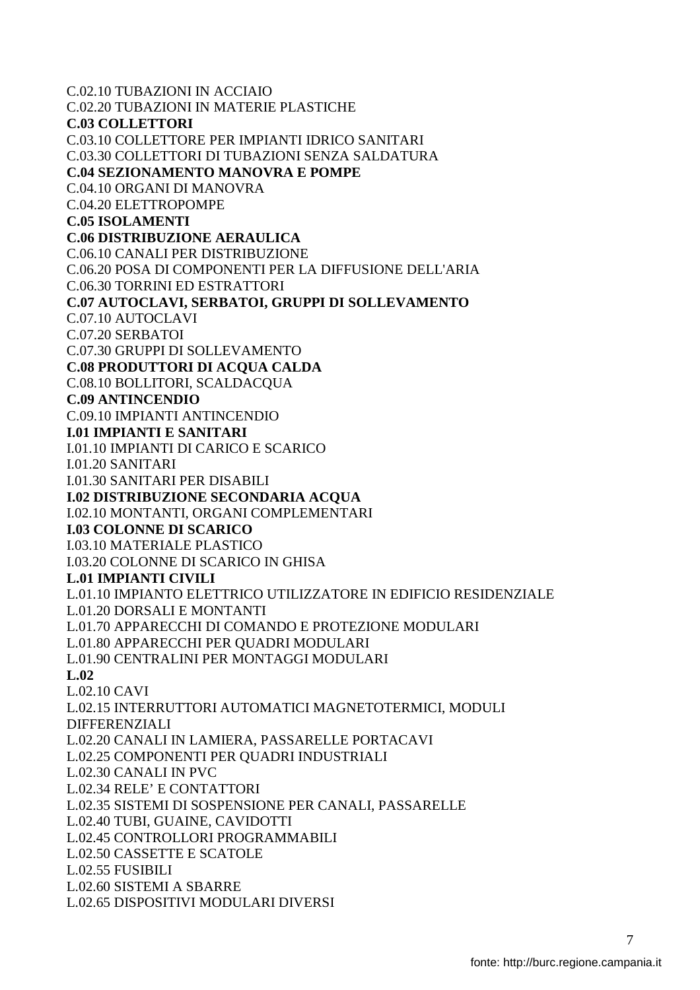C.02.10 TUBAZIONI IN ACCIAIO C.02.20 TUBAZIONI IN MATERIE PLASTICHE **C.03 COLLETTORI**  C.03.10 COLLETTORE PER IMPIANTI IDRICO SANITARI C.03.30 COLLETTORI DI TUBAZIONI SENZA SALDATURA **C.04 SEZIONAMENTO MANOVRA E POMPE**  C.04.10 ORGANI DI MANOVRA C.04.20 ELETTROPOMPE **C.05 ISOLAMENTI C.06 DISTRIBUZIONE AERAULICA**  C.06.10 CANALI PER DISTRIBUZIONE C.06.20 POSA DI COMPONENTI PER LA DIFFUSIONE DELL'ARIA C.06.30 TORRINI ED ESTRATTORI **C.07 AUTOCLAVI, SERBATOI, GRUPPI DI SOLLEVAMENTO**  C.07.10 AUTOCLAVI C.07.20 SERBATOI C.07.30 GRUPPI DI SOLLEVAMENTO **C.08 PRODUTTORI DI ACQUA CALDA**  C.08.10 BOLLITORI, SCALDACQUA **C.09 ANTINCENDIO**  C.09.10 IMPIANTI ANTINCENDIO **I.01 IMPIANTI E SANITARI**  I.01.10 IMPIANTI DI CARICO E SCARICO I.01.20 SANITARI I.01.30 SANITARI PER DISABILI **I.02 DISTRIBUZIONE SECONDARIA ACQUA**  I.02.10 MONTANTI, ORGANI COMPLEMENTARI **I.03 COLONNE DI SCARICO**  I.03.10 MATERIALE PLASTICO I.03.20 COLONNE DI SCARICO IN GHISA **L.01 IMPIANTI CIVILI**  L.01.10 IMPIANTO ELETTRICO UTILIZZATORE IN EDIFICIO RESIDENZIALE L.01.20 DORSALI E MONTANTI L.01.70 APPARECCHI DI COMANDO E PROTEZIONE MODULARI L.01.80 APPARECCHI PER QUADRI MODULARI L.01.90 CENTRALINI PER MONTAGGI MODULARI **L.02**  L.02.10 CAVI L.02.15 INTERRUTTORI AUTOMATICI MAGNETOTERMICI, MODULI DIFFERENZIALI L.02.20 CANALI IN LAMIERA, PASSARELLE PORTACAVI L.02.25 COMPONENTI PER QUADRI INDUSTRIALI L.02.30 CANALI IN PVC L.02.34 RELE' E CONTATTORI L.02.35 SISTEMI DI SOSPENSIONE PER CANALI, PASSARELLE L.02.40 TUBI, GUAINE, CAVIDOTTI L.02.45 CONTROLLORI PROGRAMMABILI L.02.50 CASSETTE E SCATOLE L.02.55 FUSIBILI L.02.60 SISTEMI A SBARRE L.02.65 DISPOSITIVI MODULARI DIVERSI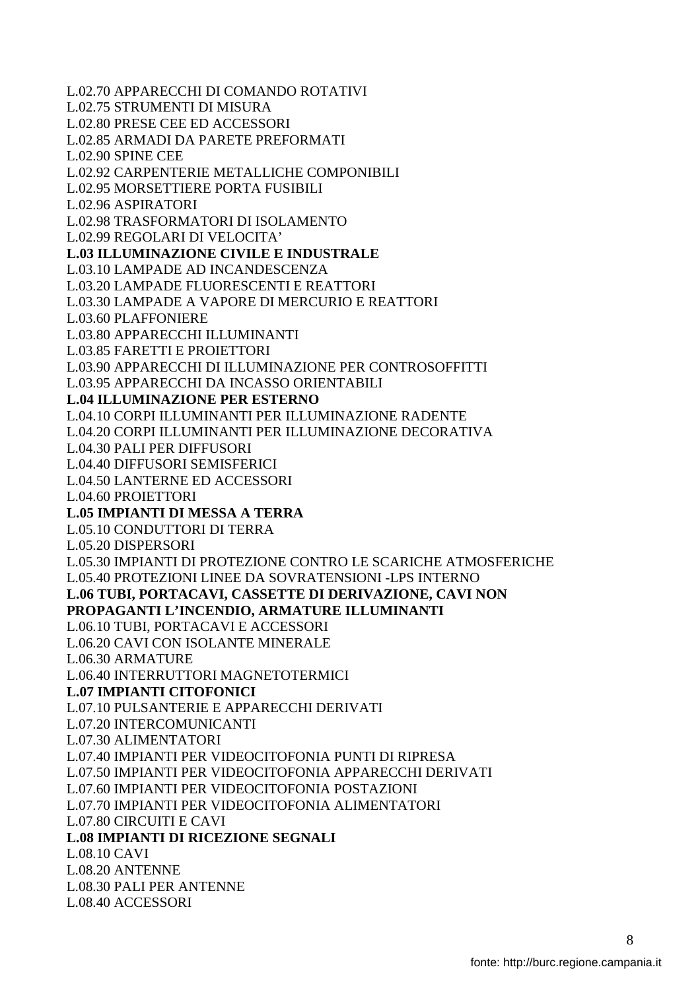L.02.70 APPARECCHI DI COMANDO ROTATIVI L.02.75 STRUMENTI DI MISURA L.02.80 PRESE CEE ED ACCESSORI L.02.85 ARMADI DA PARETE PREFORMATI L.02.90 SPINE CEE L.02.92 CARPENTERIE METALLICHE COMPONIBILI L.02.95 MORSETTIERE PORTA FUSIBILI L.02.96 ASPIRATORI L.02.98 TRASFORMATORI DI ISOLAMENTO L.02.99 REGOLARI DI VELOCITA' **L.03 ILLUMINAZIONE CIVILE E INDUSTRALE**  L.03.10 LAMPADE AD INCANDESCENZA L.03.20 LAMPADE FLUORESCENTI E REATTORI L.03.30 LAMPADE A VAPORE DI MERCURIO E REATTORI L.03.60 PLAFFONIERE L.03.80 APPARECCHI ILLUMINANTI L.03.85 FARETTI E PROIETTORI L.03.90 APPARECCHI DI ILLUMINAZIONE PER CONTROSOFFITTI L.03.95 APPARECCHI DA INCASSO ORIENTABILI **L.04 ILLUMINAZIONE PER ESTERNO**  L.04.10 CORPI ILLUMINANTI PER ILLUMINAZIONE RADENTE L.04.20 CORPI ILLUMINANTI PER ILLUMINAZIONE DECORATIVA L.04.30 PALI PER DIFFUSORI L.04.40 DIFFUSORI SEMISFERICI L.04.50 LANTERNE ED ACCESSORI L.04.60 PROIETTORI **L.05 IMPIANTI DI MESSA A TERRA**  L.05.10 CONDUTTORI DI TERRA L.05.20 DISPERSORI L.05.30 IMPIANTI DI PROTEZIONE CONTRO LE SCARICHE ATMOSFERICHE L.05.40 PROTEZIONI LINEE DA SOVRATENSIONI -LPS INTERNO **L.06 TUBI, PORTACAVI, CASSETTE DI DERIVAZIONE, CAVI NON PROPAGANTI L'INCENDIO, ARMATURE ILLUMINANTI**  L.06.10 TUBI, PORTACAVI E ACCESSORI L.06.20 CAVI CON ISOLANTE MINERALE L.06.30 ARMATURE L.06.40 INTERRUTTORI MAGNETOTERMICI **L.07 IMPIANTI CITOFONICI**  L.07.10 PULSANTERIE E APPARECCHI DERIVATI L.07.20 INTERCOMUNICANTI L.07.30 ALIMENTATORI L.07.40 IMPIANTI PER VIDEOCITOFONIA PUNTI DI RIPRESA L.07.50 IMPIANTI PER VIDEOCITOFONIA APPARECCHI DERIVATI L.07.60 IMPIANTI PER VIDEOCITOFONIA POSTAZIONI L.07.70 IMPIANTI PER VIDEOCITOFONIA ALIMENTATORI L.07.80 CIRCUITI E CAVI **L.08 IMPIANTI DI RICEZIONE SEGNALI**  L.08.10 CAVI L.08.20 ANTENNE L.08.30 PALI PER ANTENNE L.08.40 ACCESSORI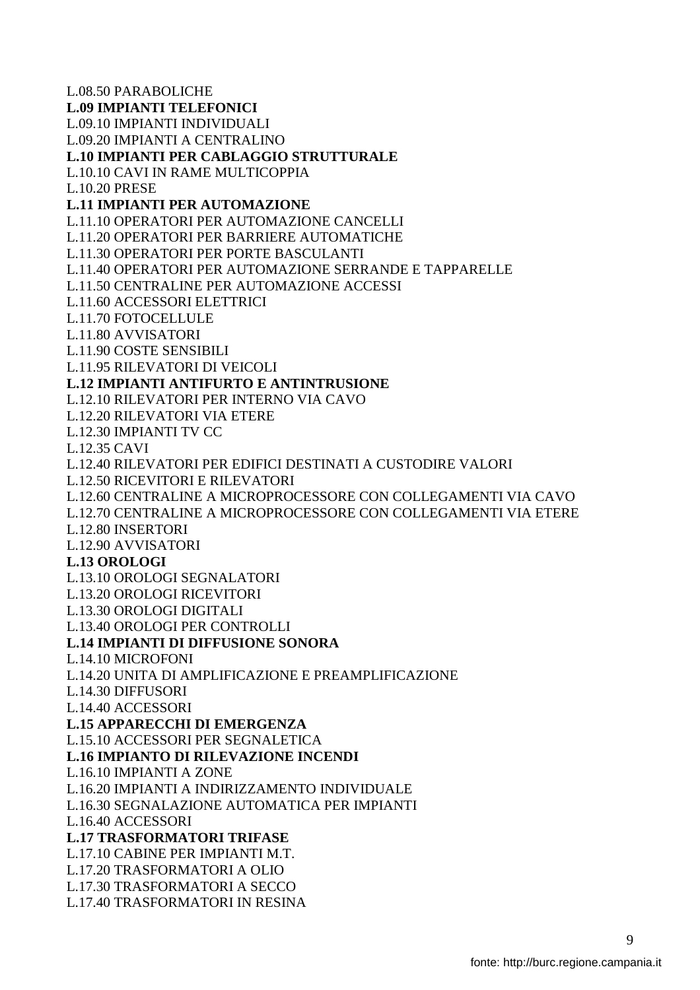L.08.50 PARABOLICHE **L.09 IMPIANTI TELEFONICI**  L.09.10 IMPIANTI INDIVIDUALI L.09.20 IMPIANTI A CENTRALINO **L.10 IMPIANTI PER CABLAGGIO STRUTTURALE**  L.10.10 CAVI IN RAME MULTICOPPIA L.10.20 PRESE **L.11 IMPIANTI PER AUTOMAZIONE**  L.11.10 OPERATORI PER AUTOMAZIONE CANCELLI L.11.20 OPERATORI PER BARRIERE AUTOMATICHE L.11.30 OPERATORI PER PORTE BASCULANTI L.11.40 OPERATORI PER AUTOMAZIONE SERRANDE E TAPPARELLE L.11.50 CENTRALINE PER AUTOMAZIONE ACCESSI L.11.60 ACCESSORI ELETTRICI L.11.70 FOTOCELLULE L.11.80 AVVISATORI L.11.90 COSTE SENSIBILI L.11.95 RILEVATORI DI VEICOLI **L.12 IMPIANTI ANTIFURTO E ANTINTRUSIONE**  L.12.10 RILEVATORI PER INTERNO VIA CAVO L.12.20 RILEVATORI VIA ETERE L.12.30 IMPIANTI TV CC L.12.35 CAVI L.12.40 RILEVATORI PER EDIFICI DESTINATI A CUSTODIRE VALORI L.12.50 RICEVITORI E RILEVATORI L.12.60 CENTRALINE A MICROPROCESSORE CON COLLEGAMENTI VIA CAVO L.12.70 CENTRALINE A MICROPROCESSORE CON COLLEGAMENTI VIA ETERE L.12.80 INSERTORI L.12.90 AVVISATORI **L.13 OROLOGI**  L.13.10 OROLOGI SEGNALATORI L.13.20 OROLOGI RICEVITORI L.13.30 OROLOGI DIGITALI L.13.40 OROLOGI PER CONTROLLI **L.14 IMPIANTI DI DIFFUSIONE SONORA**  L.14.10 MICROFONI L.14.20 UNITA DI AMPLIFICAZIONE E PREAMPLIFICAZIONE L.14.30 DIFFUSORI L.14.40 ACCESSORI **L.15 APPARECCHI DI EMERGENZA**  L.15.10 ACCESSORI PER SEGNALETICA **L.16 IMPIANTO DI RILEVAZIONE INCENDI**  L.16.10 IMPIANTI A ZONE L.16.20 IMPIANTI A INDIRIZZAMENTO INDIVIDUALE L.16.30 SEGNALAZIONE AUTOMATICA PER IMPIANTI L.16.40 ACCESSORI **L.17 TRASFORMATORI TRIFASE**  L.17.10 CABINE PER IMPIANTI M.T. L.17.20 TRASFORMATORI A OLIO L.17.30 TRASFORMATORI A SECCO L.17.40 TRASFORMATORI IN RESINA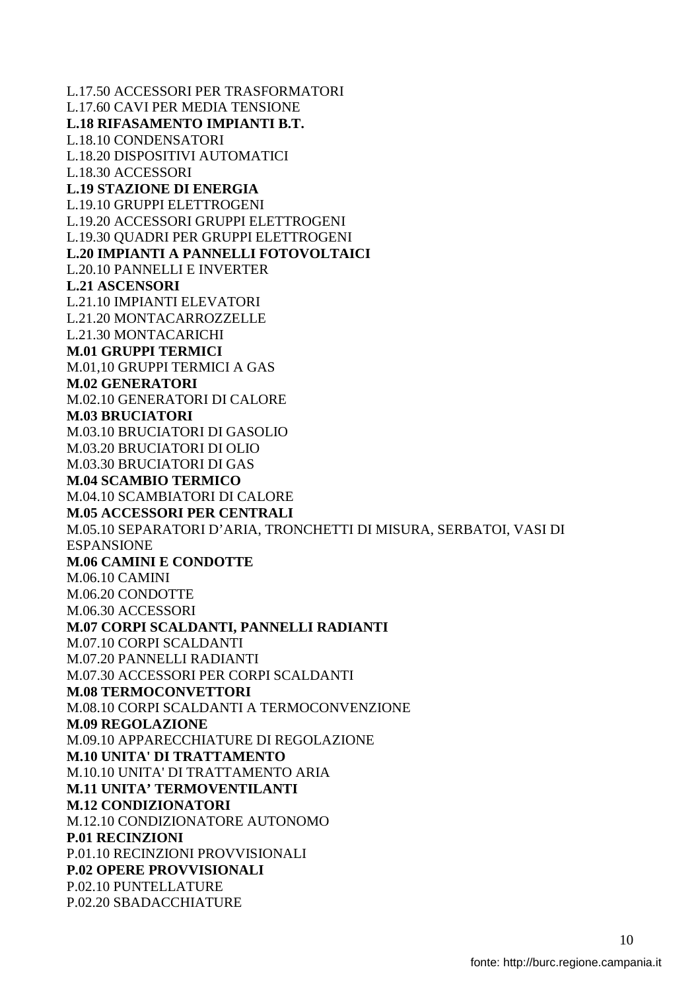L.17.50 ACCESSORI PER TRASFORMATORI L.17.60 CAVI PER MEDIA TENSIONE **L.18 RIFASAMENTO IMPIANTI B.T.**  L.18.10 CONDENSATORI L.18.20 DISPOSITIVI AUTOMATICI L.18.30 ACCESSORI **L.19 STAZIONE DI ENERGIA**  L.19.10 GRUPPI ELETTROGENI L.19.20 ACCESSORI GRUPPI ELETTROGENI L.19.30 QUADRI PER GRUPPI ELETTROGENI **L.20 IMPIANTI A PANNELLI FOTOVOLTAICI**  L.20.10 PANNELLI E INVERTER **L.21 ASCENSORI**  L.21.10 IMPIANTI ELEVATORI L.21.20 MONTACARROZZELLE L.21.30 MONTACARICHI **M.01 GRUPPI TERMICI**  M.01,10 GRUPPI TERMICI A GAS **M.02 GENERATORI**  M.02.10 GENERATORI DI CALORE **M.03 BRUCIATORI**  M.03.10 BRUCIATORI DI GASOLIO M.03.20 BRUCIATORI DI OLIO M.03.30 BRUCIATORI DI GAS **M.04 SCAMBIO TERMICO**  M.04.10 SCAMBIATORI DI CALORE **M.05 ACCESSORI PER CENTRALI**  M.05.10 SEPARATORI D'ARIA, TRONCHETTI DI MISURA, SERBATOI, VASI DI ESPANSIONE **M.06 CAMINI E CONDOTTE**  M.06.10 CAMINI M.06.20 CONDOTTE M.06.30 ACCESSORI **M.07 CORPI SCALDANTI, PANNELLI RADIANTI**  M.07.10 CORPI SCALDANTI M.07.20 PANNELLI RADIANTI M.07.30 ACCESSORI PER CORPI SCALDANTI **M.08 TERMOCONVETTORI**  M.08.10 CORPI SCALDANTI A TERMOCONVENZIONE **M.09 REGOLAZIONE**  M.09.10 APPARECCHIATURE DI REGOLAZIONE **M.10 UNITA' DI TRATTAMENTO**  M.10.10 UNITA' DI TRATTAMENTO ARIA **M.11 UNITA' TERMOVENTILANTI M.12 CONDIZIONATORI**  M.12.10 CONDIZIONATORE AUTONOMO **P.01 RECINZIONI**  P.01.10 RECINZIONI PROVVISIONALI **P.02 OPERE PROVVISIONALI**  P.02.10 PUNTELLATURE P.02.20 SBADACCHIATURE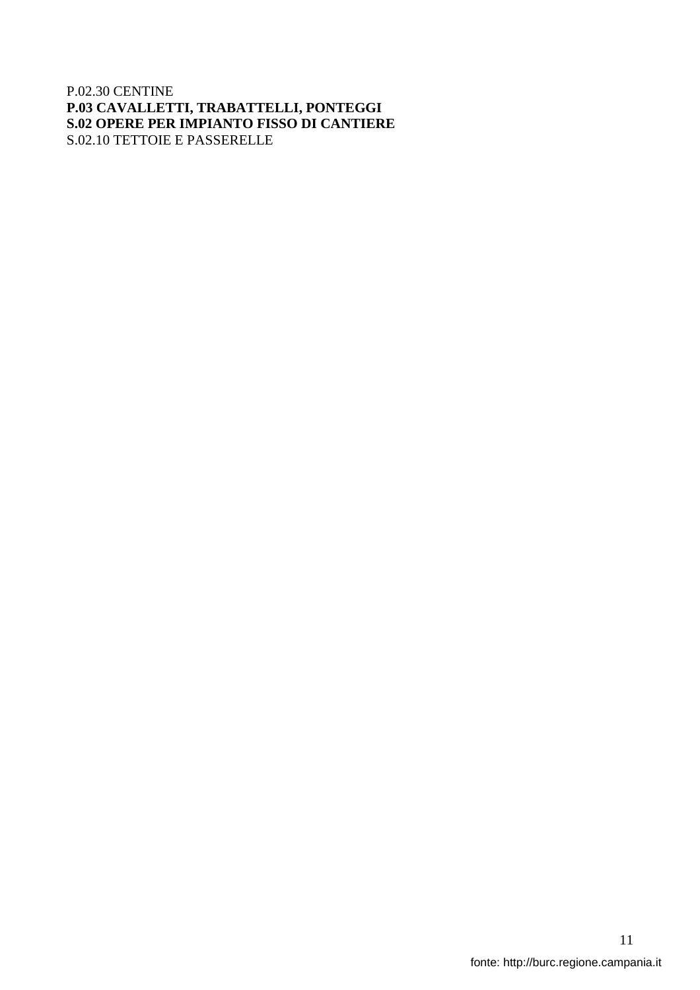#### P.02.30 CENTINE **P.03 CAVALLETTI, TRABATTELLI, PONTEGGI S.02 OPERE PER IMPIANTO FISSO DI CANTIERE**  S.02.10 TETTOIE E PASSERELLE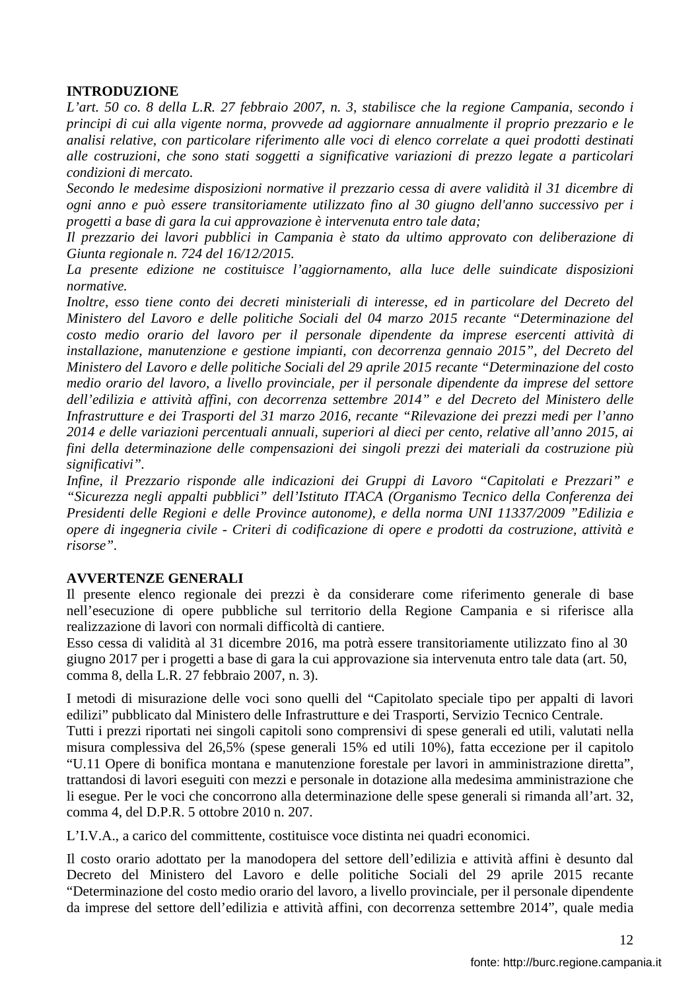### **INTRODUZIONE**

*L'art. 50 co. 8 della L.R. 27 febbraio 2007, n. 3, stabilisce che la regione Campania, secondo i principi di cui alla vigente norma, provvede ad aggiornare annualmente il proprio prezzario e le analisi relative, con particolare riferimento alle voci di elenco correlate a quei prodotti destinati alle costruzioni, che sono stati soggetti a significative variazioni di prezzo legate a particolari condizioni di mercato.* 

*Secondo le medesime disposizioni normative il prezzario cessa di avere validità il 31 dicembre di ogni anno e può essere transitoriamente utilizzato fino al 30 giugno dell'anno successivo per i progetti a base di gara la cui approvazione è intervenuta entro tale data;* 

*Il prezzario dei lavori pubblici in Campania è stato da ultimo approvato con deliberazione di Giunta regionale n. 724 del 16/12/2015.* 

*La presente edizione ne costituisce l'aggiornamento, alla luce delle suindicate disposizioni normative.* 

*Inoltre, esso tiene conto dei decreti ministeriali di interesse, ed in particolare del Decreto del Ministero del Lavoro e delle politiche Sociali del 04 marzo 2015 recante "Determinazione del costo medio orario del lavoro per il personale dipendente da imprese esercenti attività di installazione, manutenzione e gestione impianti, con decorrenza gennaio 2015", del Decreto del Ministero del Lavoro e delle politiche Sociali del 29 aprile 2015 recante "Determinazione del costo medio orario del lavoro, a livello provinciale, per il personale dipendente da imprese del settore dell'edilizia e attività affini, con decorrenza settembre 2014" e del Decreto del Ministero delle Infrastrutture e dei Trasporti del 31 marzo 2016, recante "Rilevazione dei prezzi medi per l'anno 2014 e delle variazioni percentuali annuali, superiori al dieci per cento, relative all'anno 2015, ai fini della determinazione delle compensazioni dei singoli prezzi dei materiali da costruzione più significativi".* 

*Infine, il Prezzario risponde alle indicazioni dei Gruppi di Lavoro "Capitolati e Prezzari" e "Sicurezza negli appalti pubblici" dell'Istituto ITACA (Organismo Tecnico della Conferenza dei Presidenti delle Regioni e delle Province autonome), e della norma UNI 11337/2009 "Edilizia e opere di ingegneria civile - Criteri di codificazione di opere e prodotti da costruzione, attività e risorse".* 

#### **AVVERTENZE GENERALI**

Il presente elenco regionale dei prezzi è da considerare come riferimento generale di base nell'esecuzione di opere pubbliche sul territorio della Regione Campania e si riferisce alla realizzazione di lavori con normali difficoltà di cantiere.

Esso cessa di validità al 31 dicembre 2016, ma potrà essere transitoriamente utilizzato fino al 30 giugno 2017 per i progetti a base di gara la cui approvazione sia intervenuta entro tale data (art. 50, comma 8, della L.R. 27 febbraio 2007, n. 3).

I metodi di misurazione delle voci sono quelli del "Capitolato speciale tipo per appalti di lavori edilizi" pubblicato dal Ministero delle Infrastrutture e dei Trasporti, Servizio Tecnico Centrale.

Tutti i prezzi riportati nei singoli capitoli sono comprensivi di spese generali ed utili, valutati nella misura complessiva del 26,5% (spese generali 15% ed utili 10%), fatta eccezione per il capitolo "U.11 Opere di bonifica montana e manutenzione forestale per lavori in amministrazione diretta", trattandosi di lavori eseguiti con mezzi e personale in dotazione alla medesima amministrazione che li esegue. Per le voci che concorrono alla determinazione delle spese generali si rimanda all'art. 32, comma 4, del D.P.R. 5 ottobre 2010 n. 207.

L'I.V.A., a carico del committente, costituisce voce distinta nei quadri economici.

Il costo orario adottato per la manodopera del settore dell'edilizia e attività affini è desunto dal Decreto del Ministero del Lavoro e delle politiche Sociali del 29 aprile 2015 recante "Determinazione del costo medio orario del lavoro, a livello provinciale, per il personale dipendente da imprese del settore dell'edilizia e attività affini, con decorrenza settembre 2014", quale media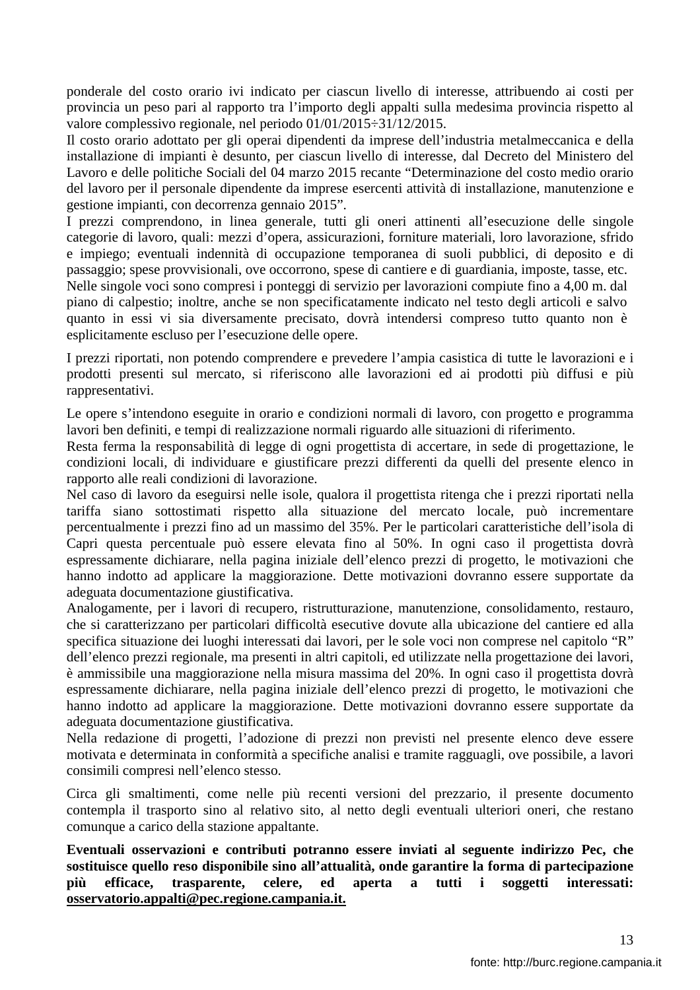ponderale del costo orario ivi indicato per ciascun livello di interesse, attribuendo ai costi per provincia un peso pari al rapporto tra l'importo degli appalti sulla medesima provincia rispetto al valore complessivo regionale, nel periodo 01/01/2015÷31/12/2015.

Il costo orario adottato per gli operai dipendenti da imprese dell'industria metalmeccanica e della installazione di impianti è desunto, per ciascun livello di interesse, dal Decreto del Ministero del Lavoro e delle politiche Sociali del 04 marzo 2015 recante "Determinazione del costo medio orario del lavoro per il personale dipendente da imprese esercenti attività di installazione, manutenzione e gestione impianti, con decorrenza gennaio 2015".

I prezzi comprendono, in linea generale, tutti gli oneri attinenti all'esecuzione delle singole categorie di lavoro, quali: mezzi d'opera, assicurazioni, forniture materiali, loro lavorazione, sfrido e impiego; eventuali indennità di occupazione temporanea di suoli pubblici, di deposito e di passaggio; spese provvisionali, ove occorrono, spese di cantiere e di guardiania, imposte, tasse, etc. Nelle singole voci sono compresi i ponteggi di servizio per lavorazioni compiute fino a 4,00 m. dal piano di calpestio; inoltre, anche se non specificatamente indicato nel testo degli articoli e salvo quanto in essi vi sia diversamente precisato, dovrà intendersi compreso tutto quanto non è esplicitamente escluso per l'esecuzione delle opere.

I prezzi riportati, non potendo comprendere e prevedere l'ampia casistica di tutte le lavorazioni e i prodotti presenti sul mercato, si riferiscono alle lavorazioni ed ai prodotti più diffusi e più rappresentativi.

Le opere s'intendono eseguite in orario e condizioni normali di lavoro, con progetto e programma lavori ben definiti, e tempi di realizzazione normali riguardo alle situazioni di riferimento.

Resta ferma la responsabilità di legge di ogni progettista di accertare, in sede di progettazione, le condizioni locali, di individuare e giustificare prezzi differenti da quelli del presente elenco in rapporto alle reali condizioni di lavorazione.

Nel caso di lavoro da eseguirsi nelle isole, qualora il progettista ritenga che i prezzi riportati nella tariffa siano sottostimati rispetto alla situazione del mercato locale, può incrementare percentualmente i prezzi fino ad un massimo del 35%. Per le particolari caratteristiche dell'isola di Capri questa percentuale può essere elevata fino al 50%. In ogni caso il progettista dovrà espressamente dichiarare, nella pagina iniziale dell'elenco prezzi di progetto, le motivazioni che hanno indotto ad applicare la maggiorazione. Dette motivazioni dovranno essere supportate da adeguata documentazione giustificativa.

Analogamente, per i lavori di recupero, ristrutturazione, manutenzione, consolidamento, restauro, che si caratterizzano per particolari difficoltà esecutive dovute alla ubicazione del cantiere ed alla specifica situazione dei luoghi interessati dai lavori, per le sole voci non comprese nel capitolo "R"

dell'elenco prezzi regionale, ma presenti in altri capitoli, ed utilizzate nella progettazione dei lavori, è ammissibile una maggiorazione nella misura massima del 20%. In ogni caso il progettista dovrà espressamente dichiarare, nella pagina iniziale dell'elenco prezzi di progetto, le motivazioni che hanno indotto ad applicare la maggiorazione. Dette motivazioni dovranno essere supportate da adeguata documentazione giustificativa.

Nella redazione di progetti, l'adozione di prezzi non previsti nel presente elenco deve essere motivata e determinata in conformità a specifiche analisi e tramite ragguagli, ove possibile, a lavori consimili compresi nell'elenco stesso.

Circa gli smaltimenti, come nelle più recenti versioni del prezzario, il presente documento contempla il trasporto sino al relativo sito, al netto degli eventuali ulteriori oneri, che restano comunque a carico della stazione appaltante.

**Eventuali osservazioni e contributi potranno essere inviati al seguente indirizzo Pec, che sostituisce quello reso disponibile sino all'attualità, onde garantire la forma di partecipazione più efficace, trasparente, celere, ed aperta a tutti i soggetti interessati: osservatorio.appalti@pec.regione.campania.it.**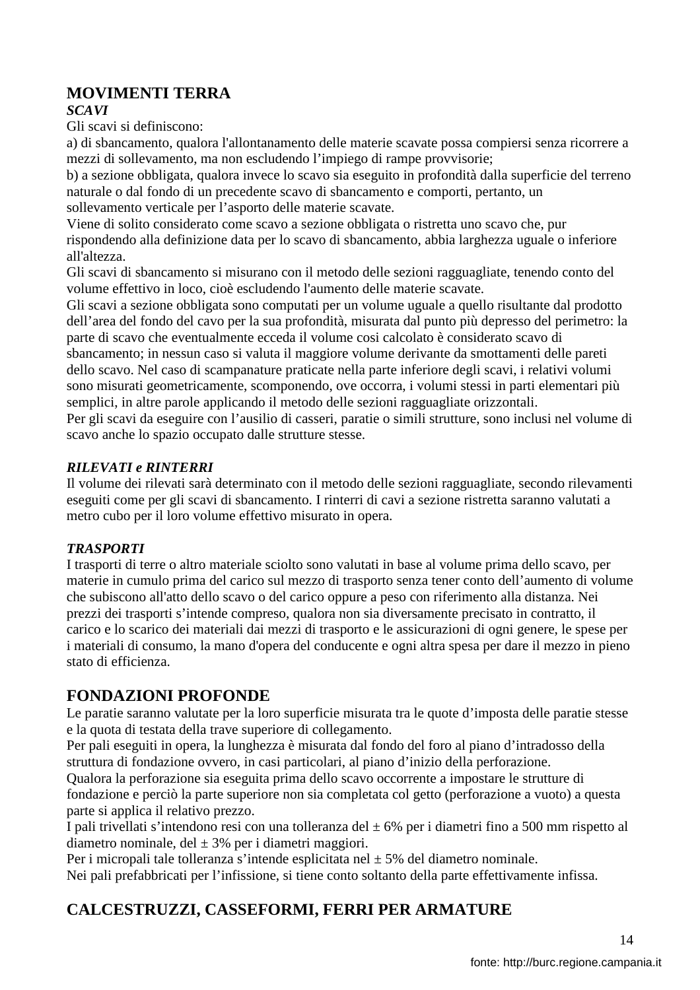# **MOVIMENTI TERRA**

### *SCAVI*

Gli scavi si definiscono:

a) di sbancamento, qualora l'allontanamento delle materie scavate possa compiersi senza ricorrere a mezzi di sollevamento, ma non escludendo l'impiego di rampe provvisorie;

b) a sezione obbligata, qualora invece lo scavo sia eseguito in profondità dalla superficie del terreno naturale o dal fondo di un precedente scavo di sbancamento e comporti, pertanto, un sollevamento verticale per l'asporto delle materie scavate.

Viene di solito considerato come scavo a sezione obbligata o ristretta uno scavo che, pur rispondendo alla definizione data per lo scavo di sbancamento, abbia larghezza uguale o inferiore all'altezza.

Gli scavi di sbancamento si misurano con il metodo delle sezioni ragguagliate, tenendo conto del volume effettivo in loco, cioè escludendo l'aumento delle materie scavate.

Gli scavi a sezione obbligata sono computati per un volume uguale a quello risultante dal prodotto dell'area del fondo del cavo per la sua profondità, misurata dal punto più depresso del perimetro: la parte di scavo che eventualmente ecceda il volume cosi calcolato è considerato scavo di

sbancamento; in nessun caso si valuta il maggiore volume derivante da smottamenti delle pareti dello scavo. Nel caso di scampanature praticate nella parte inferiore degli scavi, i relativi volumi sono misurati geometricamente, scomponendo, ove occorra, i volumi stessi in parti elementari più semplici, in altre parole applicando il metodo delle sezioni ragguagliate orizzontali.

Per gli scavi da eseguire con l'ausilio di casseri, paratie o simili strutture, sono inclusi nel volume di scavo anche lo spazio occupato dalle strutture stesse.

### *RILEVATI e RINTERRI*

Il volume dei rilevati sarà determinato con il metodo delle sezioni ragguagliate, secondo rilevamenti eseguiti come per gli scavi di sbancamento. I rinterri di cavi a sezione ristretta saranno valutati a metro cubo per il loro volume effettivo misurato in opera.

### *TRASPORTI*

I trasporti di terre o altro materiale sciolto sono valutati in base al volume prima dello scavo, per materie in cumulo prima del carico sul mezzo di trasporto senza tener conto dell'aumento di volume che subiscono all'atto dello scavo o del carico oppure a peso con riferimento alla distanza. Nei prezzi dei trasporti s'intende compreso, qualora non sia diversamente precisato in contratto, il carico e lo scarico dei materiali dai mezzi di trasporto e le assicurazioni di ogni genere, le spese per i materiali di consumo, la mano d'opera del conducente e ogni altra spesa per dare il mezzo in pieno stato di efficienza.

# **FONDAZIONI PROFONDE**

Le paratie saranno valutate per la loro superficie misurata tra le quote d'imposta delle paratie stesse e la quota di testata della trave superiore di collegamento.

Per pali eseguiti in opera, la lunghezza è misurata dal fondo del foro al piano d'intradosso della struttura di fondazione ovvero, in casi particolari, al piano d'inizio della perforazione.

Qualora la perforazione sia eseguita prima dello scavo occorrente a impostare le strutture di fondazione e perciò la parte superiore non sia completata col getto (perforazione a vuoto) a questa parte si applica il relativo prezzo.

I pali trivellati s'intendono resi con una tolleranza del  $\pm$  6% per i diametri fino a 500 mm rispetto al diametro nominale, del  $\pm$  3% per i diametri maggiori.

Per i micropali tale tolleranza s'intende esplicitata nel  $\pm$  5% del diametro nominale.

Nei pali prefabbricati per l'infissione, si tiene conto soltanto della parte effettivamente infissa.

# **CALCESTRUZZI, CASSEFORMI, FERRI PER ARMATURE**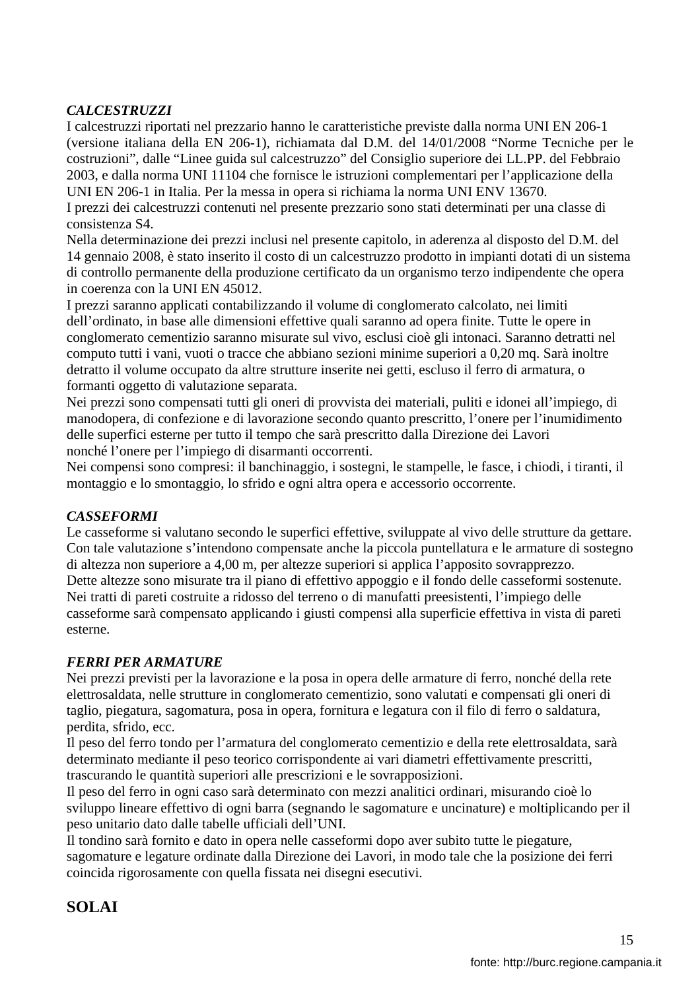### *CALCESTRUZZI*

I calcestruzzi riportati nel prezzario hanno le caratteristiche previste dalla norma UNI EN 206-1 (versione italiana della EN 206-1), richiamata dal D.M. del 14/01/2008 "Norme Tecniche per le costruzioni", dalle "Linee guida sul calcestruzzo" del Consiglio superiore dei LL.PP. del Febbraio 2003, e dalla norma UNI 11104 che fornisce le istruzioni complementari per l'applicazione della UNI EN 206-1 in Italia. Per la messa in opera si richiama la norma UNI ENV 13670.

I prezzi dei calcestruzzi contenuti nel presente prezzario sono stati determinati per una classe di consistenza S4.

Nella determinazione dei prezzi inclusi nel presente capitolo, in aderenza al disposto del D.M. del 14 gennaio 2008, è stato inserito il costo di un calcestruzzo prodotto in impianti dotati di un sistema di controllo permanente della produzione certificato da un organismo terzo indipendente che opera in coerenza con la UNI EN 45012.

I prezzi saranno applicati contabilizzando il volume di conglomerato calcolato, nei limiti dell'ordinato, in base alle dimensioni effettive quali saranno ad opera finite. Tutte le opere in conglomerato cementizio saranno misurate sul vivo, esclusi cioè gli intonaci. Saranno detratti nel computo tutti i vani, vuoti o tracce che abbiano sezioni minime superiori a 0,20 mq. Sarà inoltre detratto il volume occupato da altre strutture inserite nei getti, escluso il ferro di armatura, o formanti oggetto di valutazione separata.

Nei prezzi sono compensati tutti gli oneri di provvista dei materiali, puliti e idonei all'impiego, di manodopera, di confezione e di lavorazione secondo quanto prescritto, l'onere per l'inumidimento delle superfici esterne per tutto il tempo che sarà prescritto dalla Direzione dei Lavori nonché l'onere per l'impiego di disarmanti occorrenti.

Nei compensi sono compresi: il banchinaggio, i sostegni, le stampelle, le fasce, i chiodi, i tiranti, il montaggio e lo smontaggio, lo sfrido e ogni altra opera e accessorio occorrente.

#### *CASSEFORMI*

Le casseforme si valutano secondo le superfici effettive, sviluppate al vivo delle strutture da gettare. Con tale valutazione s'intendono compensate anche la piccola puntellatura e le armature di sostegno di altezza non superiore a 4,00 m, per altezze superiori si applica l'apposito sovrapprezzo. Dette altezze sono misurate tra il piano di effettivo appoggio e il fondo delle casseformi sostenute. Nei tratti di pareti costruite a ridosso del terreno o di manufatti preesistenti, l'impiego delle casseforme sarà compensato applicando i giusti compensi alla superficie effettiva in vista di pareti esterne.

#### *FERRI PER ARMATURE*

Nei prezzi previsti per la lavorazione e la posa in opera delle armature di ferro, nonché della rete elettrosaldata, nelle strutture in conglomerato cementizio, sono valutati e compensati gli oneri di taglio, piegatura, sagomatura, posa in opera, fornitura e legatura con il filo di ferro o saldatura, perdita, sfrido, ecc.

Il peso del ferro tondo per l'armatura del conglomerato cementizio e della rete elettrosaldata, sarà determinato mediante il peso teorico corrispondente ai vari diametri effettivamente prescritti, trascurando le quantità superiori alle prescrizioni e le sovrapposizioni.

Il peso del ferro in ogni caso sarà determinato con mezzi analitici ordinari, misurando cioè lo sviluppo lineare effettivo di ogni barra (segnando le sagomature e uncinature) e moltiplicando per il peso unitario dato dalle tabelle ufficiali dell'UNI.

Il tondino sarà fornito e dato in opera nelle casseformi dopo aver subito tutte le piegature, sagomature e legature ordinate dalla Direzione dei Lavori, in modo tale che la posizione dei ferri coincida rigorosamente con quella fissata nei disegni esecutivi.

# **SOLAI**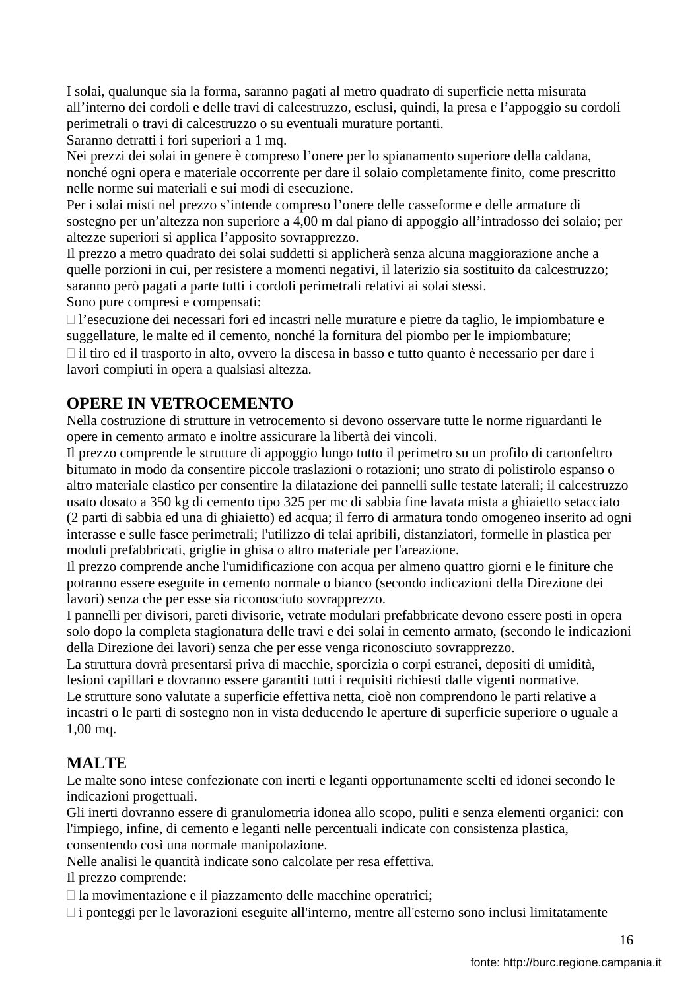I solai, qualunque sia la forma, saranno pagati al metro quadrato di superficie netta misurata all'interno dei cordoli e delle travi di calcestruzzo, esclusi, quindi, la presa e l'appoggio su cordoli perimetrali o travi di calcestruzzo o su eventuali murature portanti.

Saranno detratti i fori superiori a 1 mq.

Nei prezzi dei solai in genere è compreso l'onere per lo spianamento superiore della caldana, nonché ogni opera e materiale occorrente per dare il solaio completamente finito, come prescritto nelle norme sui materiali e sui modi di esecuzione.

Per i solai misti nel prezzo s'intende compreso l'onere delle casseforme e delle armature di sostegno per un'altezza non superiore a 4,00 m dal piano di appoggio all'intradosso dei solaio; per altezze superiori si applica l'apposito sovrapprezzo.

Il prezzo a metro quadrato dei solai suddetti si applicherà senza alcuna maggiorazione anche a quelle porzioni in cui, per resistere a momenti negativi, il laterizio sia sostituito da calcestruzzo; saranno però pagati a parte tutti i cordoli perimetrali relativi ai solai stessi. Sono pure compresi e compensati:

 l'esecuzione dei necessari fori ed incastri nelle murature e pietre da taglio, le impiombature e suggellature, le malte ed il cemento, nonché la fornitura del piombo per le impiombature;

 il tiro ed il trasporto in alto, ovvero la discesa in basso e tutto quanto è necessario per dare i lavori compiuti in opera a qualsiasi altezza.

# **OPERE IN VETROCEMENTO**

Nella costruzione di strutture in vetrocemento si devono osservare tutte le norme riguardanti le opere in cemento armato e inoltre assicurare la libertà dei vincoli.

Il prezzo comprende le strutture di appoggio lungo tutto il perimetro su un profilo di cartonfeltro bitumato in modo da consentire piccole traslazioni o rotazioni; uno strato di polistirolo espanso o altro materiale elastico per consentire la dilatazione dei pannelli sulle testate laterali; il calcestruzzo usato dosato a 350 kg di cemento tipo 325 per mc di sabbia fine lavata mista a ghiaietto setacciato (2 parti di sabbia ed una di ghiaietto) ed acqua; il ferro di armatura tondo omogeneo inserito ad ogni interasse e sulle fasce perimetrali; l'utilizzo di telai apribili, distanziatori, formelle in plastica per moduli prefabbricati, griglie in ghisa o altro materiale per l'areazione.

Il prezzo comprende anche l'umidificazione con acqua per almeno quattro giorni e le finiture che potranno essere eseguite in cemento normale o bianco (secondo indicazioni della Direzione dei lavori) senza che per esse sia riconosciuto sovrapprezzo.

I pannelli per divisori, pareti divisorie, vetrate modulari prefabbricate devono essere posti in opera solo dopo la completa stagionatura delle travi e dei solai in cemento armato, (secondo le indicazioni della Direzione dei lavori) senza che per esse venga riconosciuto sovrapprezzo.

La struttura dovrà presentarsi priva di macchie, sporcizia o corpi estranei, depositi di umidità, lesioni capillari e dovranno essere garantiti tutti i requisiti richiesti dalle vigenti normative.

Le strutture sono valutate a superficie effettiva netta, cioè non comprendono le parti relative a incastri o le parti di sostegno non in vista deducendo le aperture di superficie superiore o uguale a 1,00 mq.

# **MALTE**

Le malte sono intese confezionate con inerti e leganti opportunamente scelti ed idonei secondo le indicazioni progettuali.

Gli inerti dovranno essere di granulometria idonea allo scopo, puliti e senza elementi organici: con l'impiego, infine, di cemento e leganti nelle percentuali indicate con consistenza plastica, consentendo così una normale manipolazione.

Nelle analisi le quantità indicate sono calcolate per resa effettiva.

Il prezzo comprende:

la movimentazione e il piazzamento delle macchine operatrici;

i ponteggi per le lavorazioni eseguite all'interno, mentre all'esterno sono inclusi limitatamente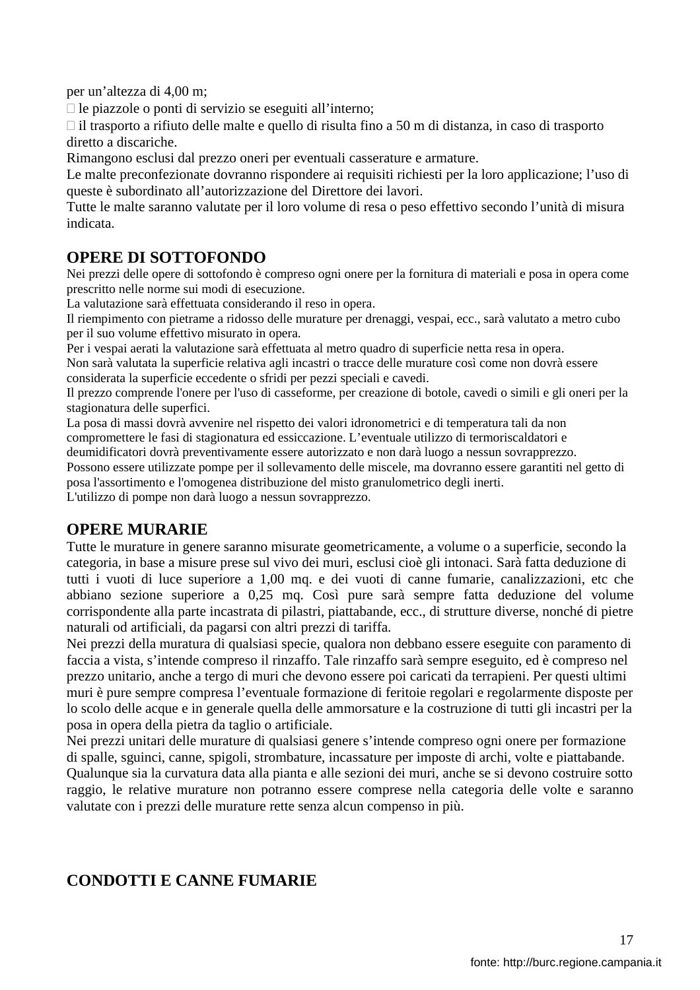per un'altezza di 4,00 m;

le piazzole o ponti di servizio se eseguiti all'interno;

 il trasporto a rifiuto delle malte e quello di risulta fino a 50 m di distanza, in caso di trasporto diretto a discariche.

Rimangono esclusi dal prezzo oneri per eventuali casserature e armature.

Le malte preconfezionate dovranno rispondere ai requisiti richiesti per la loro applicazione; l'uso di queste è subordinato all'autorizzazione del Direttore dei lavori.

Tutte le malte saranno valutate per il loro volume di resa o peso effettivo secondo l'unità di misura indicata.

### **OPERE DI SOTTOFONDO**

Nei prezzi delle opere di sottofondo è compreso ogni onere per la fornitura di materiali e posa in opera come prescritto nelle norme sui modi di esecuzione.

La valutazione sarà effettuata considerando il reso in opera.

Il riempimento con pietrame a ridosso delle murature per drenaggi, vespai, ecc., sarà valutato a metro cubo per il suo volume effettivo misurato in opera.

Per i vespai aerati la valutazione sarà effettuata al metro quadro di superficie netta resa in opera. Non sarà valutata la superficie relativa agli incastri o tracce delle murature così come non dovrà essere

considerata la superficie eccedente o sfridi per pezzi speciali e cavedi.

Il prezzo comprende l'onere per l'uso di casseforme, per creazione di botole, cavedi o simili e gli oneri per la stagionatura delle superfici.

La posa di massi dovrà avvenire nel rispetto dei valori idronometrici e di temperatura tali da non compromettere le fasi di stagionatura ed essiccazione. L'eventuale utilizzo di termoriscaldatori e deumidificatori dovrà preventivamente essere autorizzato e non darà luogo a nessun sovrapprezzo.

Possono essere utilizzate pompe per il sollevamento delle miscele, ma dovranno essere garantiti nel getto di

posa l'assortimento e l'omogenea distribuzione del misto granulometrico degli inerti.

L'utilizzo di pompe non darà luogo a nessun sovrapprezzo.

### **OPERE MURARIE**

Tutte le murature in genere saranno misurate geometricamente, a volume o a superficie, secondo la categoria, in base a misure prese sul vivo dei muri, esclusi cioè gli intonaci. Sarà fatta deduzione di tutti i vuoti di luce superiore a 1,00 mq. e dei vuoti di canne fumarie, canalizzazioni, etc che abbiano sezione superiore a 0,25 mq. Così pure sarà sempre fatta deduzione del volume corrispondente alla parte incastrata di pilastri, piattabande, ecc., di strutture diverse, nonché di pietre naturali od artificiali, da pagarsi con altri prezzi di tariffa.

Nei prezzi della muratura di qualsiasi specie, qualora non debbano essere eseguite con paramento di faccia a vista, s'intende compreso il rinzaffo. Tale rinzaffo sarà sempre eseguito, ed è compreso nel prezzo unitario, anche a tergo di muri che devono essere poi caricati da terrapieni. Per questi ultimi muri è pure sempre compresa l'eventuale formazione di feritoie regolari e regolarmente disposte per lo scolo delle acque e in generale quella delle ammorsature e la costruzione di tutti gli incastri per la posa in opera della pietra da taglio o artificiale.

Nei prezzi unitari delle murature di qualsiasi genere s'intende compreso ogni onere per formazione di spalle, sguinci, canne, spigoli, strombature, incassature per imposte di archi, volte e piattabande. Qualunque sia la curvatura data alla pianta e alle sezioni dei muri, anche se si devono costruire sotto raggio, le relative murature non potranno essere comprese nella categoria delle volte e saranno valutate con i prezzi delle murature rette senza alcun compenso in più.

# **CONDOTTI E CANNE FUMARIE**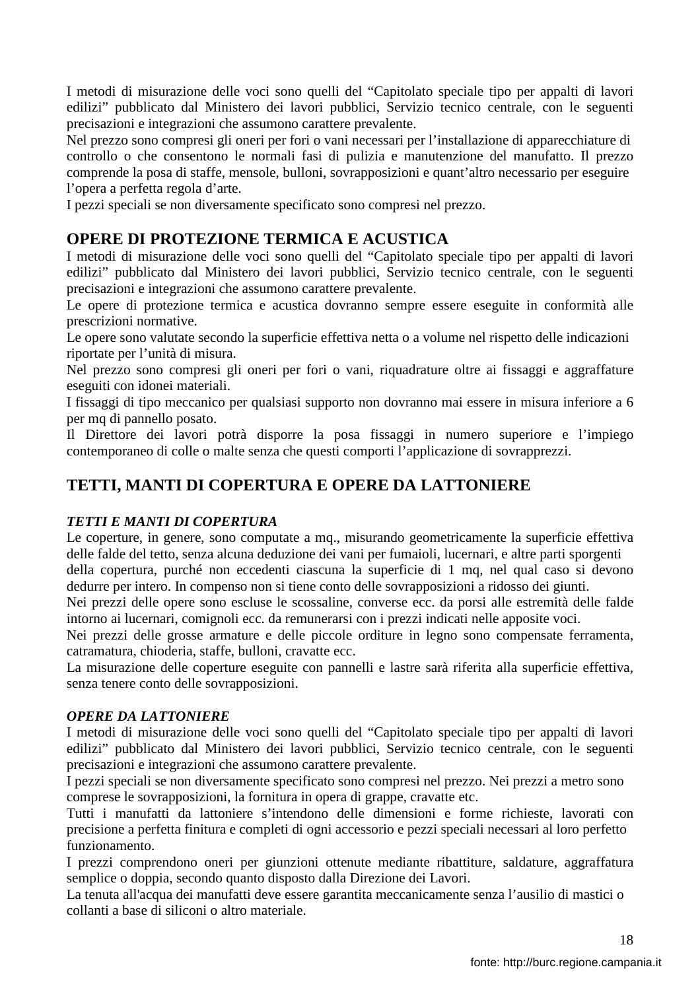I metodi di misurazione delle voci sono quelli del "Capitolato speciale tipo per appalti di lavori edilizi" pubblicato dal Ministero dei lavori pubblici, Servizio tecnico centrale, con le seguenti precisazioni e integrazioni che assumono carattere prevalente.

Nel prezzo sono compresi gli oneri per fori o vani necessari per l'installazione di apparecchiature di controllo o che consentono le normali fasi di pulizia e manutenzione del manufatto. Il prezzo comprende la posa di staffe, mensole, bulloni, sovrapposizioni e quant'altro necessario per eseguire l'opera a perfetta regola d'arte.

I pezzi speciali se non diversamente specificato sono compresi nel prezzo.

## **OPERE DI PROTEZIONE TERMICA E ACUSTICA**

I metodi di misurazione delle voci sono quelli del "Capitolato speciale tipo per appalti di lavori edilizi" pubblicato dal Ministero dei lavori pubblici, Servizio tecnico centrale, con le seguenti precisazioni e integrazioni che assumono carattere prevalente.

Le opere di protezione termica e acustica dovranno sempre essere eseguite in conformità alle prescrizioni normative.

Le opere sono valutate secondo la superficie effettiva netta o a volume nel rispetto delle indicazioni riportate per l'unità di misura.

Nel prezzo sono compresi gli oneri per fori o vani, riquadrature oltre ai fissaggi e aggraffature eseguiti con idonei materiali.

I fissaggi di tipo meccanico per qualsiasi supporto non dovranno mai essere in misura inferiore a 6 per mq di pannello posato.

Il Direttore dei lavori potrà disporre la posa fissaggi in numero superiore e l'impiego contemporaneo di colle o malte senza che questi comporti l'applicazione di sovrapprezzi.

### **TETTI, MANTI DI COPERTURA E OPERE DA LATTONIERE**

#### *TETTI E MANTI DI COPERTURA*

Le coperture, in genere, sono computate a mq., misurando geometricamente la superficie effettiva delle falde del tetto, senza alcuna deduzione dei vani per fumaioli, lucernari, e altre parti sporgenti

della copertura, purché non eccedenti ciascuna la superficie di 1 mq, nel qual caso si devono dedurre per intero. In compenso non si tiene conto delle sovrapposizioni a ridosso dei giunti.

Nei prezzi delle opere sono escluse le scossaline, converse ecc. da porsi alle estremità delle falde intorno ai lucernari, comignoli ecc. da remunerarsi con i prezzi indicati nelle apposite voci.

Nei prezzi delle grosse armature e delle piccole orditure in legno sono compensate ferramenta, catramatura, chioderia, staffe, bulloni, cravatte ecc.

La misurazione delle coperture eseguite con pannelli e lastre sarà riferita alla superficie effettiva, senza tenere conto delle sovrapposizioni.

#### *OPERE DA LATTONIERE*

I metodi di misurazione delle voci sono quelli del "Capitolato speciale tipo per appalti di lavori edilizi" pubblicato dal Ministero dei lavori pubblici, Servizio tecnico centrale, con le seguenti precisazioni e integrazioni che assumono carattere prevalente.

I pezzi speciali se non diversamente specificato sono compresi nel prezzo. Nei prezzi a metro sono comprese le sovrapposizioni, la fornitura in opera di grappe, cravatte etc.

Tutti i manufatti da lattoniere s'intendono delle dimensioni e forme richieste, lavorati con precisione a perfetta finitura e completi di ogni accessorio e pezzi speciali necessari al loro perfetto funzionamento.

I prezzi comprendono oneri per giunzioni ottenute mediante ribattiture, saldature, aggraffatura semplice o doppia, secondo quanto disposto dalla Direzione dei Lavori.

La tenuta all'acqua dei manufatti deve essere garantita meccanicamente senza l'ausilio di mastici o collanti a base di siliconi o altro materiale.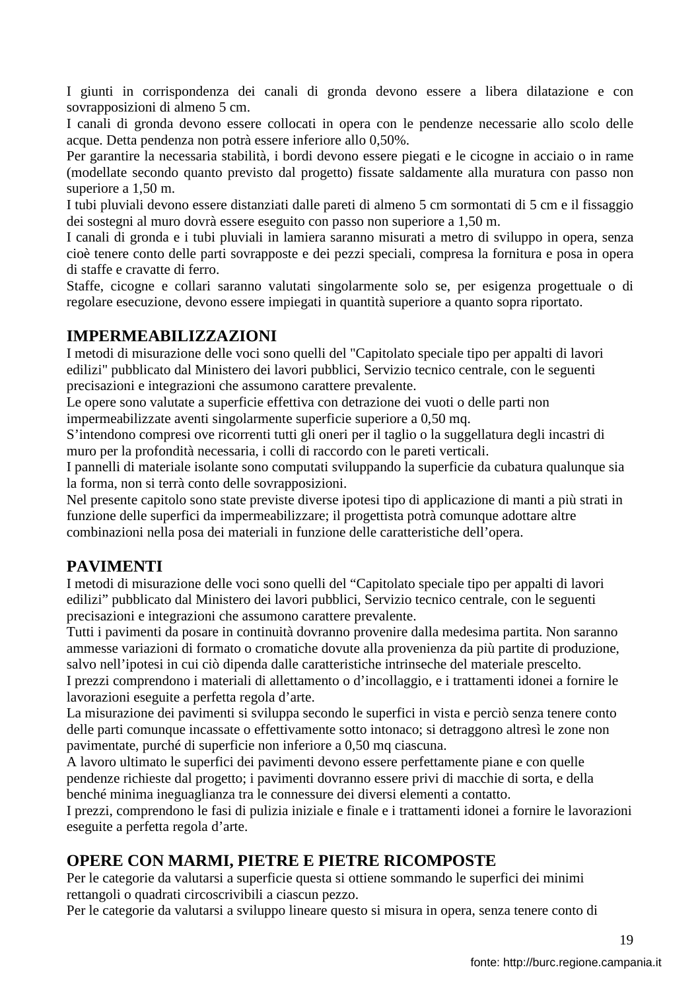I giunti in corrispondenza dei canali di gronda devono essere a libera dilatazione e con sovrapposizioni di almeno 5 cm.

I canali di gronda devono essere collocati in opera con le pendenze necessarie allo scolo delle acque. Detta pendenza non potrà essere inferiore allo 0,50%.

Per garantire la necessaria stabilità, i bordi devono essere piegati e le cicogne in acciaio o in rame (modellate secondo quanto previsto dal progetto) fissate saldamente alla muratura con passo non superiore a 1,50 m.

I tubi pluviali devono essere distanziati dalle pareti di almeno 5 cm sormontati di 5 cm e il fissaggio dei sostegni al muro dovrà essere eseguito con passo non superiore a 1,50 m.

I canali di gronda e i tubi pluviali in lamiera saranno misurati a metro di sviluppo in opera, senza cioè tenere conto delle parti sovrapposte e dei pezzi speciali, compresa la fornitura e posa in opera di staffe e cravatte di ferro.

Staffe, cicogne e collari saranno valutati singolarmente solo se, per esigenza progettuale o di regolare esecuzione, devono essere impiegati in quantità superiore a quanto sopra riportato.

### **IMPERMEABILIZZAZIONI**

I metodi di misurazione delle voci sono quelli del "Capitolato speciale tipo per appalti di lavori edilizi" pubblicato dal Ministero dei lavori pubblici, Servizio tecnico centrale, con le seguenti precisazioni e integrazioni che assumono carattere prevalente.

Le opere sono valutate a superficie effettiva con detrazione dei vuoti o delle parti non impermeabilizzate aventi singolarmente superficie superiore a 0,50 mq.

S'intendono compresi ove ricorrenti tutti gli oneri per il taglio o la suggellatura degli incastri di muro per la profondità necessaria, i colli di raccordo con le pareti verticali.

I pannelli di materiale isolante sono computati sviluppando la superficie da cubatura qualunque sia la forma, non si terrà conto delle sovrapposizioni.

Nel presente capitolo sono state previste diverse ipotesi tipo di applicazione di manti a più strati in funzione delle superfici da impermeabilizzare; il progettista potrà comunque adottare altre combinazioni nella posa dei materiali in funzione delle caratteristiche dell'opera.

### **PAVIMENTI**

I metodi di misurazione delle voci sono quelli del "Capitolato speciale tipo per appalti di lavori edilizi" pubblicato dal Ministero dei lavori pubblici, Servizio tecnico centrale, con le seguenti precisazioni e integrazioni che assumono carattere prevalente.

Tutti i pavimenti da posare in continuità dovranno provenire dalla medesima partita. Non saranno ammesse variazioni di formato o cromatiche dovute alla provenienza da più partite di produzione, salvo nell'ipotesi in cui ciò dipenda dalle caratteristiche intrinseche del materiale prescelto.

I prezzi comprendono i materiali di allettamento o d'incollaggio, e i trattamenti idonei a fornire le lavorazioni eseguite a perfetta regola d'arte.

La misurazione dei pavimenti si sviluppa secondo le superfici in vista e perciò senza tenere conto delle parti comunque incassate o effettivamente sotto intonaco; si detraggono altresì le zone non pavimentate, purché di superficie non inferiore a 0,50 mq ciascuna.

A lavoro ultimato le superfici dei pavimenti devono essere perfettamente piane e con quelle pendenze richieste dal progetto; i pavimenti dovranno essere privi di macchie di sorta, e della benché minima ineguaglianza tra le connessure dei diversi elementi a contatto.

I prezzi, comprendono le fasi di pulizia iniziale e finale e i trattamenti idonei a fornire le lavorazioni eseguite a perfetta regola d'arte.

# **OPERE CON MARMI, PIETRE E PIETRE RICOMPOSTE**

Per le categorie da valutarsi a superficie questa si ottiene sommando le superfici dei minimi rettangoli o quadrati circoscrivibili a ciascun pezzo.

Per le categorie da valutarsi a sviluppo lineare questo si misura in opera, senza tenere conto di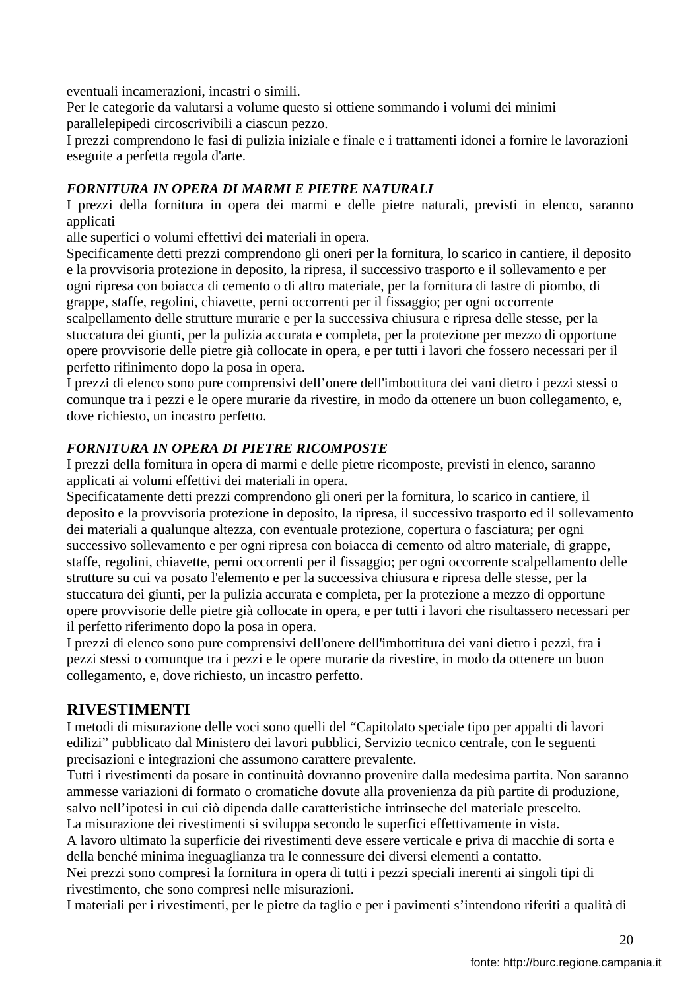eventuali incamerazioni, incastri o simili.

Per le categorie da valutarsi a volume questo si ottiene sommando i volumi dei minimi parallelepipedi circoscrivibili a ciascun pezzo.

I prezzi comprendono le fasi di pulizia iniziale e finale e i trattamenti idonei a fornire le lavorazioni eseguite a perfetta regola d'arte.

#### *FORNITURA IN OPERA DI MARMI E PIETRE NATURALI*

I prezzi della fornitura in opera dei marmi e delle pietre naturali, previsti in elenco, saranno applicati

alle superfici o volumi effettivi dei materiali in opera.

Specificamente detti prezzi comprendono gli oneri per la fornitura, lo scarico in cantiere, il deposito e la provvisoria protezione in deposito, la ripresa, il successivo trasporto e il sollevamento e per ogni ripresa con boiacca di cemento o di altro materiale, per la fornitura di lastre di piombo, di grappe, staffe, regolini, chiavette, perni occorrenti per il fissaggio; per ogni occorrente scalpellamento delle strutture murarie e per la successiva chiusura e ripresa delle stesse, per la stuccatura dei giunti, per la pulizia accurata e completa, per la protezione per mezzo di opportune opere provvisorie delle pietre già collocate in opera, e per tutti i lavori che fossero necessari per il perfetto rifinimento dopo la posa in opera.

I prezzi di elenco sono pure comprensivi dell'onere dell'imbottitura dei vani dietro i pezzi stessi o comunque tra i pezzi e le opere murarie da rivestire, in modo da ottenere un buon collegamento, e, dove richiesto, un incastro perfetto.

### *FORNITURA IN OPERA DI PIETRE RICOMPOSTE*

I prezzi della fornitura in opera di marmi e delle pietre ricomposte, previsti in elenco, saranno applicati ai volumi effettivi dei materiali in opera.

Specificatamente detti prezzi comprendono gli oneri per la fornitura, lo scarico in cantiere, il deposito e la provvisoria protezione in deposito, la ripresa, il successivo trasporto ed il sollevamento dei materiali a qualunque altezza, con eventuale protezione, copertura o fasciatura; per ogni successivo sollevamento e per ogni ripresa con boiacca di cemento od altro materiale, di grappe, staffe, regolini, chiavette, perni occorrenti per il fissaggio; per ogni occorrente scalpellamento delle strutture su cui va posato l'elemento e per la successiva chiusura e ripresa delle stesse, per la stuccatura dei giunti, per la pulizia accurata e completa, per la protezione a mezzo di opportune opere provvisorie delle pietre già collocate in opera, e per tutti i lavori che risultassero necessari per il perfetto riferimento dopo la posa in opera.

I prezzi di elenco sono pure comprensivi dell'onere dell'imbottitura dei vani dietro i pezzi, fra i pezzi stessi o comunque tra i pezzi e le opere murarie da rivestire, in modo da ottenere un buon collegamento, e, dove richiesto, un incastro perfetto.

### **RIVESTIMENTI**

I metodi di misurazione delle voci sono quelli del "Capitolato speciale tipo per appalti di lavori edilizi" pubblicato dal Ministero dei lavori pubblici, Servizio tecnico centrale, con le seguenti precisazioni e integrazioni che assumono carattere prevalente.

Tutti i rivestimenti da posare in continuità dovranno provenire dalla medesima partita. Non saranno ammesse variazioni di formato o cromatiche dovute alla provenienza da più partite di produzione, salvo nell'ipotesi in cui ciò dipenda dalle caratteristiche intrinseche del materiale prescelto. La misurazione dei rivestimenti si sviluppa secondo le superfici effettivamente in vista.

A lavoro ultimato la superficie dei rivestimenti deve essere verticale e priva di macchie di sorta e della benché minima ineguaglianza tra le connessure dei diversi elementi a contatto.

Nei prezzi sono compresi la fornitura in opera di tutti i pezzi speciali inerenti ai singoli tipi di rivestimento, che sono compresi nelle misurazioni.

I materiali per i rivestimenti, per le pietre da taglio e per i pavimenti s'intendono riferiti a qualità di

20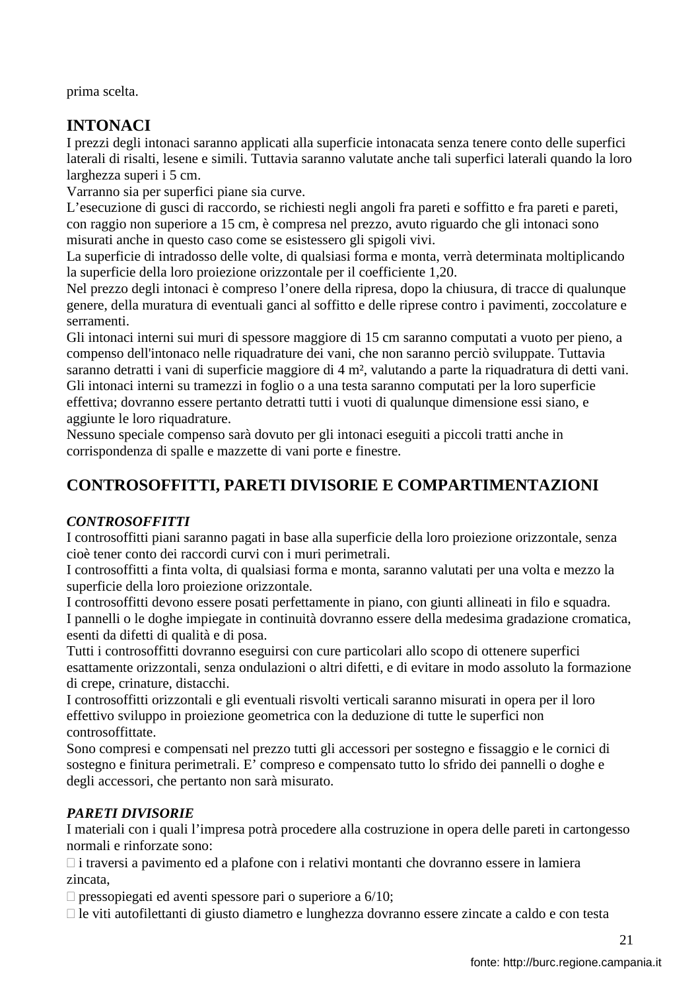prima scelta.

# **INTONACI**

I prezzi degli intonaci saranno applicati alla superficie intonacata senza tenere conto delle superfici laterali di risalti, lesene e simili. Tuttavia saranno valutate anche tali superfici laterali quando la loro larghezza superi i 5 cm.

Varranno sia per superfici piane sia curve.

L'esecuzione di gusci di raccordo, se richiesti negli angoli fra pareti e soffitto e fra pareti e pareti, con raggio non superiore a 15 cm, è compresa nel prezzo, avuto riguardo che gli intonaci sono misurati anche in questo caso come se esistessero gli spigoli vivi.

La superficie di intradosso delle volte, di qualsiasi forma e monta, verrà determinata moltiplicando la superficie della loro proiezione orizzontale per il coefficiente 1,20.

Nel prezzo degli intonaci è compreso l'onere della ripresa, dopo la chiusura, di tracce di qualunque genere, della muratura di eventuali ganci al soffitto e delle riprese contro i pavimenti, zoccolature e serramenti.

Gli intonaci interni sui muri di spessore maggiore di 15 cm saranno computati a vuoto per pieno, a compenso dell'intonaco nelle riquadrature dei vani, che non saranno perciò sviluppate. Tuttavia saranno detratti i vani di superficie maggiore di 4 m², valutando a parte la riquadratura di detti vani. Gli intonaci interni su tramezzi in foglio o a una testa saranno computati per la loro superficie effettiva; dovranno essere pertanto detratti tutti i vuoti di qualunque dimensione essi siano, e aggiunte le loro riquadrature.

Nessuno speciale compenso sarà dovuto per gli intonaci eseguiti a piccoli tratti anche in corrispondenza di spalle e mazzette di vani porte e finestre.

# **CONTROSOFFITTI, PARETI DIVISORIE E COMPARTIMENTAZIONI**

### *CONTROSOFFITTI*

I controsoffitti piani saranno pagati in base alla superficie della loro proiezione orizzontale, senza cioè tener conto dei raccordi curvi con i muri perimetrali.

I controsoffitti a finta volta, di qualsiasi forma e monta, saranno valutati per una volta e mezzo la superficie della loro proiezione orizzontale.

I controsoffitti devono essere posati perfettamente in piano, con giunti allineati in filo e squadra. I pannelli o le doghe impiegate in continuità dovranno essere della medesima gradazione cromatica, esenti da difetti di qualità e di posa.

Tutti i controsoffitti dovranno eseguirsi con cure particolari allo scopo di ottenere superfici esattamente orizzontali, senza ondulazioni o altri difetti, e di evitare in modo assoluto la formazione di crepe, crinature, distacchi.

I controsoffitti orizzontali e gli eventuali risvolti verticali saranno misurati in opera per il loro effettivo sviluppo in proiezione geometrica con la deduzione di tutte le superfici non controsoffittate.

Sono compresi e compensati nel prezzo tutti gli accessori per sostegno e fissaggio e le cornici di sostegno e finitura perimetrali. E' compreso e compensato tutto lo sfrido dei pannelli o doghe e degli accessori, che pertanto non sarà misurato.

### *PARETI DIVISORIE*

I materiali con i quali l'impresa potrà procedere alla costruzione in opera delle pareti in cartongesso normali e rinforzate sono:

 i traversi a pavimento ed a plafone con i relativi montanti che dovranno essere in lamiera zincata,

pressopiegati ed aventi spessore pari o superiore a 6/10;

le viti autofilettanti di giusto diametro e lunghezza dovranno essere zincate a caldo e con testa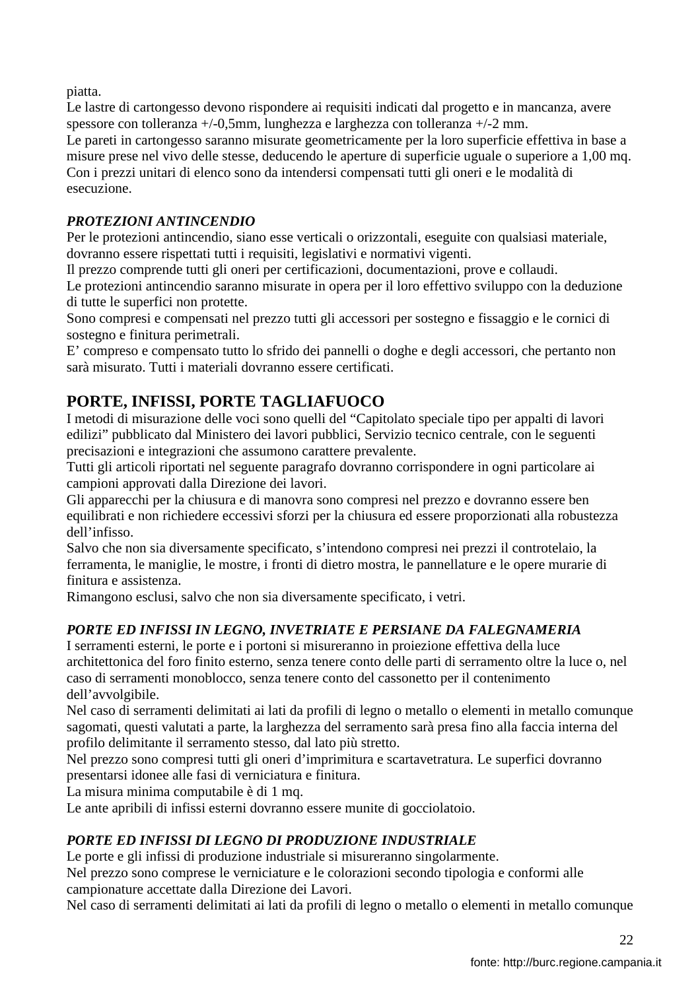piatta.

Le lastre di cartongesso devono rispondere ai requisiti indicati dal progetto e in mancanza, avere spessore con tolleranza +/-0,5mm, lunghezza e larghezza con tolleranza +/-2 mm.

Le pareti in cartongesso saranno misurate geometricamente per la loro superficie effettiva in base a misure prese nel vivo delle stesse, deducendo le aperture di superficie uguale o superiore a 1,00 mq. Con i prezzi unitari di elenco sono da intendersi compensati tutti gli oneri e le modalità di esecuzione.

## *PROTEZIONI ANTINCENDIO*

Per le protezioni antincendio, siano esse verticali o orizzontali, eseguite con qualsiasi materiale, dovranno essere rispettati tutti i requisiti, legislativi e normativi vigenti.

Il prezzo comprende tutti gli oneri per certificazioni, documentazioni, prove e collaudi.

Le protezioni antincendio saranno misurate in opera per il loro effettivo sviluppo con la deduzione di tutte le superfici non protette.

Sono compresi e compensati nel prezzo tutti gli accessori per sostegno e fissaggio e le cornici di sostegno e finitura perimetrali.

E' compreso e compensato tutto lo sfrido dei pannelli o doghe e degli accessori, che pertanto non sarà misurato. Tutti i materiali dovranno essere certificati.

# **PORTE, INFISSI, PORTE TAGLIAFUOCO**

I metodi di misurazione delle voci sono quelli del "Capitolato speciale tipo per appalti di lavori edilizi" pubblicato dal Ministero dei lavori pubblici, Servizio tecnico centrale, con le seguenti precisazioni e integrazioni che assumono carattere prevalente.

Tutti gli articoli riportati nel seguente paragrafo dovranno corrispondere in ogni particolare ai campioni approvati dalla Direzione dei lavori.

Gli apparecchi per la chiusura e di manovra sono compresi nel prezzo e dovranno essere ben equilibrati e non richiedere eccessivi sforzi per la chiusura ed essere proporzionati alla robustezza dell'infisso.

Salvo che non sia diversamente specificato, s'intendono compresi nei prezzi il controtelaio, la ferramenta, le maniglie, le mostre, i fronti di dietro mostra, le pannellature e le opere murarie di finitura e assistenza.

Rimangono esclusi, salvo che non sia diversamente specificato, i vetri.

### *PORTE ED INFISSI IN LEGNO, INVETRIATE E PERSIANE DA FALEGNAMERIA*

I serramenti esterni, le porte e i portoni si misureranno in proiezione effettiva della luce architettonica del foro finito esterno, senza tenere conto delle parti di serramento oltre la luce o, nel caso di serramenti monoblocco, senza tenere conto del cassonetto per il contenimento dell'avvolgibile.

Nel caso di serramenti delimitati ai lati da profili di legno o metallo o elementi in metallo comunque sagomati, questi valutati a parte, la larghezza del serramento sarà presa fino alla faccia interna del profilo delimitante il serramento stesso, dal lato più stretto.

Nel prezzo sono compresi tutti gli oneri d'imprimitura e scartavetratura. Le superfici dovranno presentarsi idonee alle fasi di verniciatura e finitura.

La misura minima computabile è di 1 mq.

Le ante apribili di infissi esterni dovranno essere munite di gocciolatoio.

# *PORTE ED INFISSI DI LEGNO DI PRODUZIONE INDUSTRIALE*

Le porte e gli infissi di produzione industriale si misureranno singolarmente.

Nel prezzo sono comprese le verniciature e le colorazioni secondo tipologia e conformi alle campionature accettate dalla Direzione dei Lavori.

Nel caso di serramenti delimitati ai lati da profili di legno o metallo o elementi in metallo comunque

22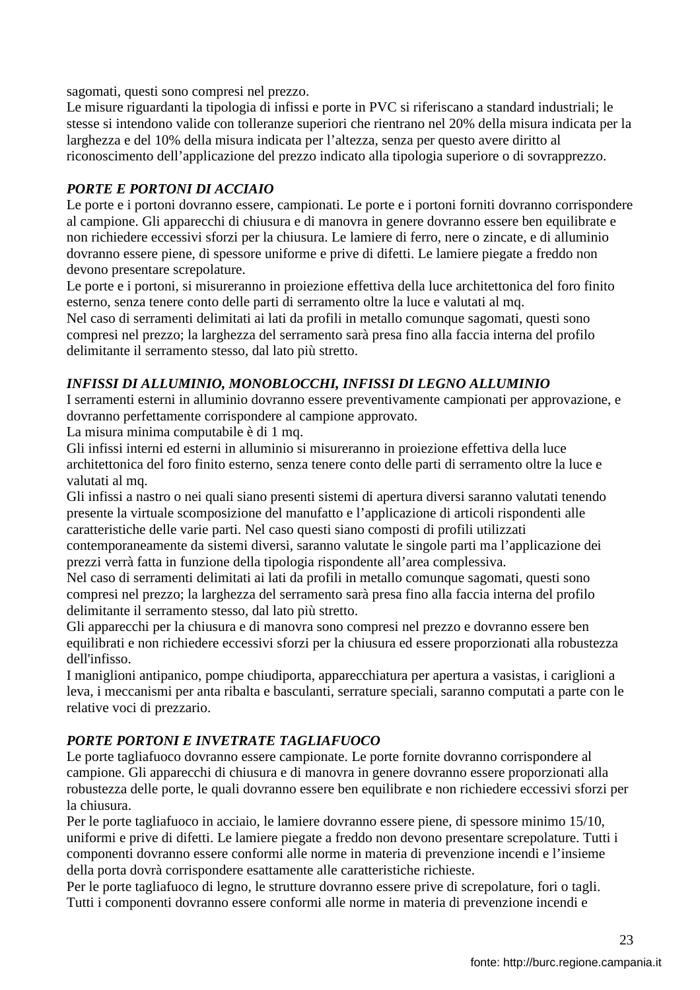sagomati, questi sono compresi nel prezzo.

Le misure riguardanti la tipologia di infissi e porte in PVC si riferiscano a standard industriali; le stesse si intendono valide con tolleranze superiori che rientrano nel 20% della misura indicata per la larghezza e del 10% della misura indicata per l'altezza, senza per questo avere diritto al riconoscimento dell'applicazione del prezzo indicato alla tipologia superiore o di sovrapprezzo.

### *PORTE E PORTONI DI ACCIAIO*

Le porte e i portoni dovranno essere, campionati. Le porte e i portoni forniti dovranno corrispondere al campione. Gli apparecchi di chiusura e di manovra in genere dovranno essere ben equilibrate e non richiedere eccessivi sforzi per la chiusura. Le lamiere di ferro, nere o zincate, e di alluminio dovranno essere piene, di spessore uniforme e prive di difetti. Le lamiere piegate a freddo non devono presentare screpolature.

Le porte e i portoni, si misureranno in proiezione effettiva della luce architettonica del foro finito esterno, senza tenere conto delle parti di serramento oltre la luce e valutati al mq.

Nel caso di serramenti delimitati ai lati da profili in metallo comunque sagomati, questi sono compresi nel prezzo; la larghezza del serramento sarà presa fino alla faccia interna del profilo delimitante il serramento stesso, dal lato più stretto.

### *INFISSI DI ALLUMINIO, MONOBLOCCHI, INFISSI DI LEGNO ALLUMINIO*

I serramenti esterni in alluminio dovranno essere preventivamente campionati per approvazione, e dovranno perfettamente corrispondere al campione approvato.

La misura minima computabile è di 1 mq.

Gli infissi interni ed esterni in alluminio si misureranno in proiezione effettiva della luce architettonica del foro finito esterno, senza tenere conto delle parti di serramento oltre la luce e valutati al mq.

Gli infissi a nastro o nei quali siano presenti sistemi di apertura diversi saranno valutati tenendo presente la virtuale scomposizione del manufatto e l'applicazione di articoli rispondenti alle caratteristiche delle varie parti. Nel caso questi siano composti di profili utilizzati

contemporaneamente da sistemi diversi, saranno valutate le singole parti ma l'applicazione dei prezzi verrà fatta in funzione della tipologia rispondente all'area complessiva.

Nel caso di serramenti delimitati ai lati da profili in metallo comunque sagomati, questi sono compresi nel prezzo; la larghezza del serramento sarà presa fino alla faccia interna del profilo delimitante il serramento stesso, dal lato più stretto.

Gli apparecchi per la chiusura e di manovra sono compresi nel prezzo e dovranno essere ben equilibrati e non richiedere eccessivi sforzi per la chiusura ed essere proporzionati alla robustezza dell'infisso.

I maniglioni antipanico, pompe chiudiporta, apparecchiatura per apertura a vasistas, i cariglioni a leva, i meccanismi per anta ribalta e basculanti, serrature speciali, saranno computati a parte con le relative voci di prezzario.

### *PORTE PORTONI E INVETRATE TAGLIAFUOCO*

Le porte tagliafuoco dovranno essere campionate. Le porte fornite dovranno corrispondere al campione. Gli apparecchi di chiusura e di manovra in genere dovranno essere proporzionati alla robustezza delle porte, le quali dovranno essere ben equilibrate e non richiedere eccessivi sforzi per la chiusura.

Per le porte tagliafuoco in acciaio, le lamiere dovranno essere piene, di spessore minimo 15/10, uniformi e prive di difetti. Le lamiere piegate a freddo non devono presentare screpolature. Tutti i componenti dovranno essere conformi alle norme in materia di prevenzione incendi e l'insieme della porta dovrà corrispondere esattamente alle caratteristiche richieste.

Per le porte tagliafuoco di legno, le strutture dovranno essere prive di screpolature, fori o tagli. Tutti i componenti dovranno essere conformi alle norme in materia di prevenzione incendi e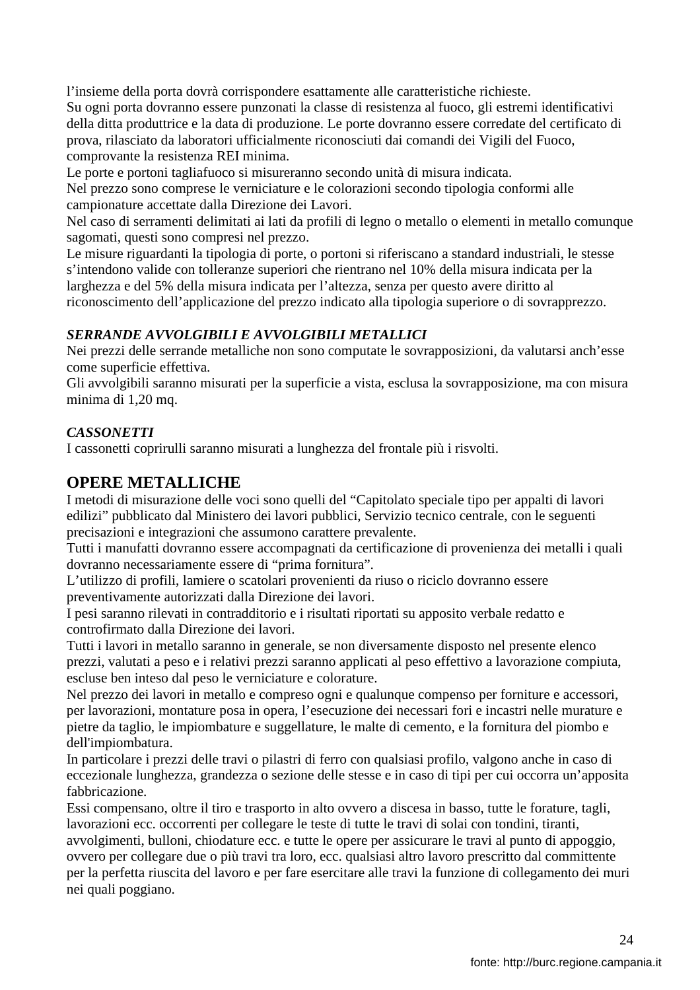l'insieme della porta dovrà corrispondere esattamente alle caratteristiche richieste. Su ogni porta dovranno essere punzonati la classe di resistenza al fuoco, gli estremi identificativi della ditta produttrice e la data di produzione. Le porte dovranno essere corredate del certificato di prova, rilasciato da laboratori ufficialmente riconosciuti dai comandi dei Vigili del Fuoco, comprovante la resistenza REI minima.

Le porte e portoni tagliafuoco si misureranno secondo unità di misura indicata.

Nel prezzo sono comprese le verniciature e le colorazioni secondo tipologia conformi alle campionature accettate dalla Direzione dei Lavori.

Nel caso di serramenti delimitati ai lati da profili di legno o metallo o elementi in metallo comunque sagomati, questi sono compresi nel prezzo.

Le misure riguardanti la tipologia di porte, o portoni si riferiscano a standard industriali, le stesse s'intendono valide con tolleranze superiori che rientrano nel 10% della misura indicata per la larghezza e del 5% della misura indicata per l'altezza, senza per questo avere diritto al riconoscimento dell'applicazione del prezzo indicato alla tipologia superiore o di sovrapprezzo.

### *SERRANDE AVVOLGIBILI E AVVOLGIBILI METALLICI*

Nei prezzi delle serrande metalliche non sono computate le sovrapposizioni, da valutarsi anch'esse come superficie effettiva.

Gli avvolgibili saranno misurati per la superficie a vista, esclusa la sovrapposizione, ma con misura minima di 1,20 mq.

### *CASSONETTI*

I cassonetti coprirulli saranno misurati a lunghezza del frontale più i risvolti.

### **OPERE METALLICHE**

I metodi di misurazione delle voci sono quelli del "Capitolato speciale tipo per appalti di lavori edilizi" pubblicato dal Ministero dei lavori pubblici, Servizio tecnico centrale, con le seguenti precisazioni e integrazioni che assumono carattere prevalente.

Tutti i manufatti dovranno essere accompagnati da certificazione di provenienza dei metalli i quali dovranno necessariamente essere di "prima fornitura".

L'utilizzo di profili, lamiere o scatolari provenienti da riuso o riciclo dovranno essere preventivamente autorizzati dalla Direzione dei lavori.

I pesi saranno rilevati in contradditorio e i risultati riportati su apposito verbale redatto e controfirmato dalla Direzione dei lavori.

Tutti i lavori in metallo saranno in generale, se non diversamente disposto nel presente elenco prezzi, valutati a peso e i relativi prezzi saranno applicati al peso effettivo a lavorazione compiuta, escluse ben inteso dal peso le verniciature e colorature.

Nel prezzo dei lavori in metallo e compreso ogni e qualunque compenso per forniture e accessori, per lavorazioni, montature posa in opera, l'esecuzione dei necessari fori e incastri nelle murature e pietre da taglio, le impiombature e suggellature, le malte di cemento, e la fornitura del piombo e dell'impiombatura.

In particolare i prezzi delle travi o pilastri di ferro con qualsiasi profilo, valgono anche in caso di eccezionale lunghezza, grandezza o sezione delle stesse e in caso di tipi per cui occorra un'apposita fabbricazione.

Essi compensano, oltre il tiro e trasporto in alto ovvero a discesa in basso, tutte le forature, tagli, lavorazioni ecc. occorrenti per collegare le teste di tutte le travi di solai con tondini, tiranti,

avvolgimenti, bulloni, chiodature ecc. e tutte le opere per assicurare le travi al punto di appoggio, ovvero per collegare due o più travi tra loro, ecc. qualsiasi altro lavoro prescritto dal committente per la perfetta riuscita del lavoro e per fare esercitare alle travi la funzione di collegamento dei muri nei quali poggiano.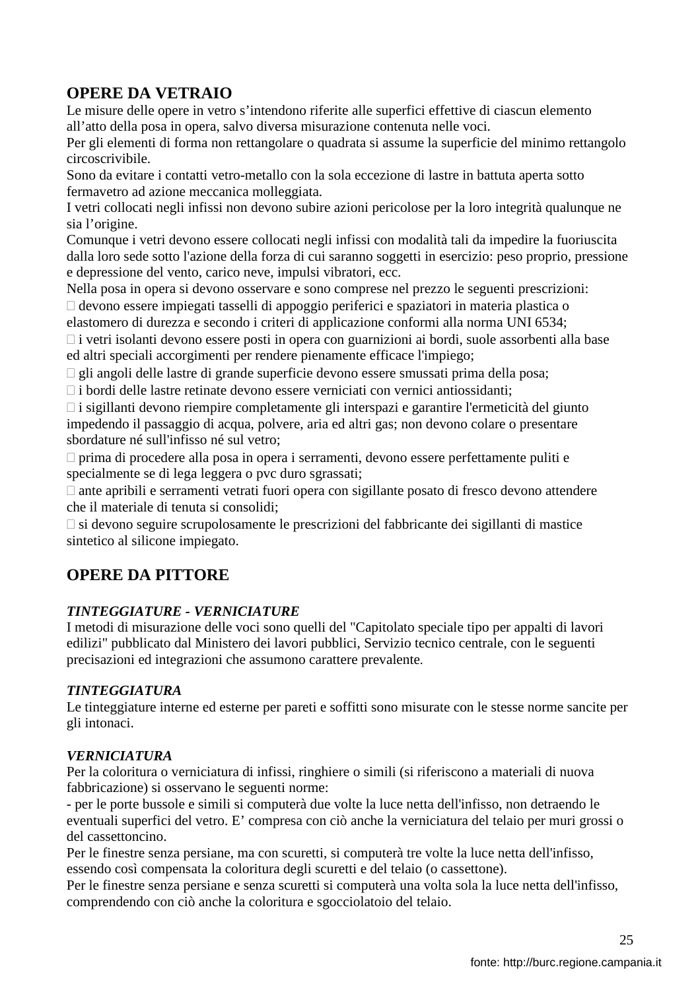# **OPERE DA VETRAIO**

Le misure delle opere in vetro s'intendono riferite alle superfici effettive di ciascun elemento all'atto della posa in opera, salvo diversa misurazione contenuta nelle voci.

Per gli elementi di forma non rettangolare o quadrata si assume la superficie del minimo rettangolo circoscrivibile.

Sono da evitare i contatti vetro-metallo con la sola eccezione di lastre in battuta aperta sotto fermavetro ad azione meccanica molleggiata.

I vetri collocati negli infissi non devono subire azioni pericolose per la loro integrità qualunque ne sia l'origine.

Comunque i vetri devono essere collocati negli infissi con modalità tali da impedire la fuoriuscita dalla loro sede sotto l'azione della forza di cui saranno soggetti in esercizio: peso proprio, pressione e depressione del vento, carico neve, impulsi vibratori, ecc.

Nella posa in opera si devono osservare e sono comprese nel prezzo le seguenti prescrizioni: devono essere impiegati tasselli di appoggio periferici e spaziatori in materia plastica o

elastomero di durezza e secondo i criteri di applicazione conformi alla norma UNI 6534;

 i vetri isolanti devono essere posti in opera con guarnizioni ai bordi, suole assorbenti alla base ed altri speciali accorgimenti per rendere pienamente efficace l'impiego;

gli angoli delle lastre di grande superficie devono essere smussati prima della posa;

i bordi delle lastre retinate devono essere verniciati con vernici antiossidanti;

 i sigillanti devono riempire completamente gli interspazi e garantire l'ermeticità del giunto impedendo il passaggio di acqua, polvere, aria ed altri gas; non devono colare o presentare sbordature né sull'infisso né sul vetro;

 prima di procedere alla posa in opera i serramenti, devono essere perfettamente puliti e specialmente se di lega leggera o pvc duro sgrassati;

 ante apribili e serramenti vetrati fuori opera con sigillante posato di fresco devono attendere che il materiale di tenuta si consolidi;

 si devono seguire scrupolosamente le prescrizioni del fabbricante dei sigillanti di mastice sintetico al silicone impiegato.

# **OPERE DA PITTORE**

### *TINTEGGIATURE - VERNICIATURE*

I metodi di misurazione delle voci sono quelli del "Capitolato speciale tipo per appalti di lavori edilizi" pubblicato dal Ministero dei lavori pubblici, Servizio tecnico centrale, con le seguenti precisazioni ed integrazioni che assumono carattere prevalente.

#### *TINTEGGIATURA*

Le tinteggiature interne ed esterne per pareti e soffitti sono misurate con le stesse norme sancite per gli intonaci.

#### *VERNICIATURA*

Per la coloritura o verniciatura di infissi, ringhiere o simili (si riferiscono a materiali di nuova fabbricazione) si osservano le seguenti norme:

- per le porte bussole e simili si computerà due volte la luce netta dell'infisso, non detraendo le eventuali superfici del vetro. E' compresa con ciò anche la verniciatura del telaio per muri grossi o del cassettoncino.

Per le finestre senza persiane, ma con scuretti, si computerà tre volte la luce netta dell'infisso, essendo così compensata la coloritura degli scuretti e del telaio (o cassettone).

Per le finestre senza persiane e senza scuretti si computerà una volta sola la luce netta dell'infisso, comprendendo con ciò anche la coloritura e sgocciolatoio del telaio.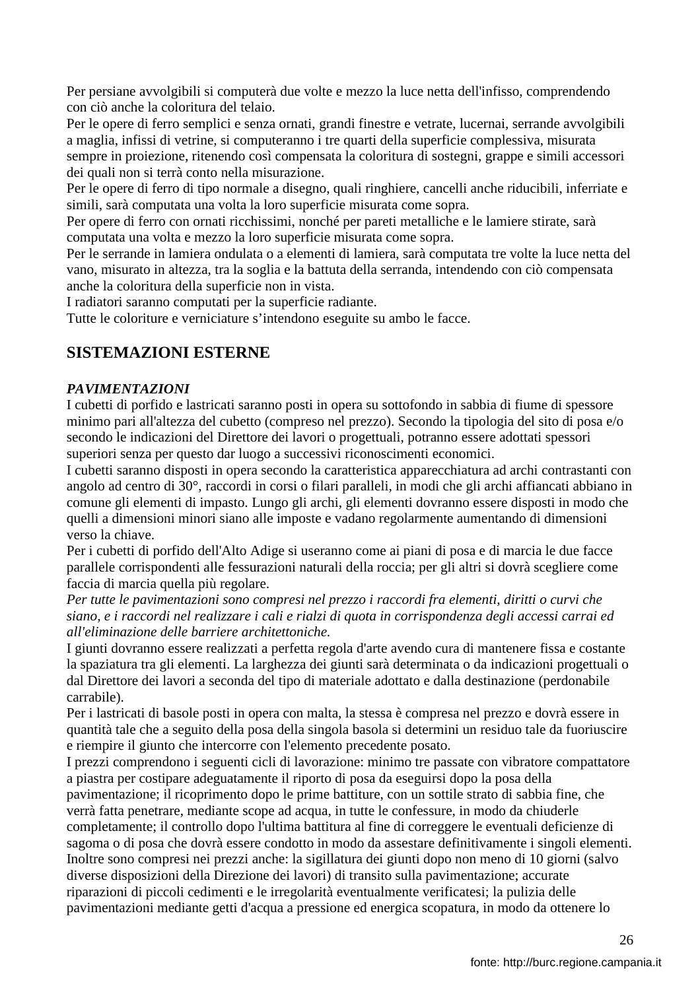Per persiane avvolgibili si computerà due volte e mezzo la luce netta dell'infisso, comprendendo con ciò anche la coloritura del telaio.

Per le opere di ferro semplici e senza ornati, grandi finestre e vetrate, lucernai, serrande avvolgibili a maglia, infissi di vetrine, si computeranno i tre quarti della superficie complessiva, misurata sempre in proiezione, ritenendo così compensata la coloritura di sostegni, grappe e simili accessori dei quali non si terrà conto nella misurazione.

Per le opere di ferro di tipo normale a disegno, quali ringhiere, cancelli anche riducibili, inferriate e simili, sarà computata una volta la loro superficie misurata come sopra.

Per opere di ferro con ornati ricchissimi, nonché per pareti metalliche e le lamiere stirate, sarà computata una volta e mezzo la loro superficie misurata come sopra.

Per le serrande in lamiera ondulata o a elementi di lamiera, sarà computata tre volte la luce netta del vano, misurato in altezza, tra la soglia e la battuta della serranda, intendendo con ciò compensata anche la coloritura della superficie non in vista.

I radiatori saranno computati per la superficie radiante.

Tutte le coloriture e verniciature s'intendono eseguite su ambo le facce.

## **SISTEMAZIONI ESTERNE**

### *PAVIMENTAZIONI*

I cubetti di porfido e lastricati saranno posti in opera su sottofondo in sabbia di fiume di spessore minimo pari all'altezza del cubetto (compreso nel prezzo). Secondo la tipologia del sito di posa e/o secondo le indicazioni del Direttore dei lavori o progettuali, potranno essere adottati spessori superiori senza per questo dar luogo a successivi riconoscimenti economici.

I cubetti saranno disposti in opera secondo la caratteristica apparecchiatura ad archi contrastanti con angolo ad centro di 30°, raccordi in corsi o filari paralleli, in modi che gli archi affiancati abbiano in comune gli elementi di impasto. Lungo gli archi, gli elementi dovranno essere disposti in modo che quelli a dimensioni minori siano alle imposte e vadano regolarmente aumentando di dimensioni verso la chiave.

Per i cubetti di porfido dell'Alto Adige si useranno come ai piani di posa e di marcia le due facce parallele corrispondenti alle fessurazioni naturali della roccia; per gli altri si dovrà scegliere come faccia di marcia quella più regolare.

*Per tutte le pavimentazioni sono compresi nel prezzo i raccordi fra elementi, diritti o curvi che siano, e i raccordi nel realizzare i cali e rialzi di quota in corrispondenza degli accessi carrai ed all'eliminazione delle barriere architettoniche.* 

I giunti dovranno essere realizzati a perfetta regola d'arte avendo cura di mantenere fissa e costante la spaziatura tra gli elementi. La larghezza dei giunti sarà determinata o da indicazioni progettuali o dal Direttore dei lavori a seconda del tipo di materiale adottato e dalla destinazione (perdonabile carrabile).

Per i lastricati di basole posti in opera con malta, la stessa è compresa nel prezzo e dovrà essere in quantità tale che a seguito della posa della singola basola si determini un residuo tale da fuoriuscire e riempire il giunto che intercorre con l'elemento precedente posato.

I prezzi comprendono i seguenti cicli di lavorazione: minimo tre passate con vibratore compattatore a piastra per costipare adeguatamente il riporto di posa da eseguirsi dopo la posa della pavimentazione; il ricoprimento dopo le prime battiture, con un sottile strato di sabbia fine, che verrà fatta penetrare, mediante scope ad acqua, in tutte le confessure, in modo da chiuderle completamente; il controllo dopo l'ultima battitura al fine di correggere le eventuali deficienze di sagoma o di posa che dovrà essere condotto in modo da assestare definitivamente i singoli elementi. Inoltre sono compresi nei prezzi anche: la sigillatura dei giunti dopo non meno di 10 giorni (salvo diverse disposizioni della Direzione dei lavori) di transito sulla pavimentazione; accurate riparazioni di piccoli cedimenti e le irregolarità eventualmente verificatesi; la pulizia delle pavimentazioni mediante getti d'acqua a pressione ed energica scopatura, in modo da ottenere lo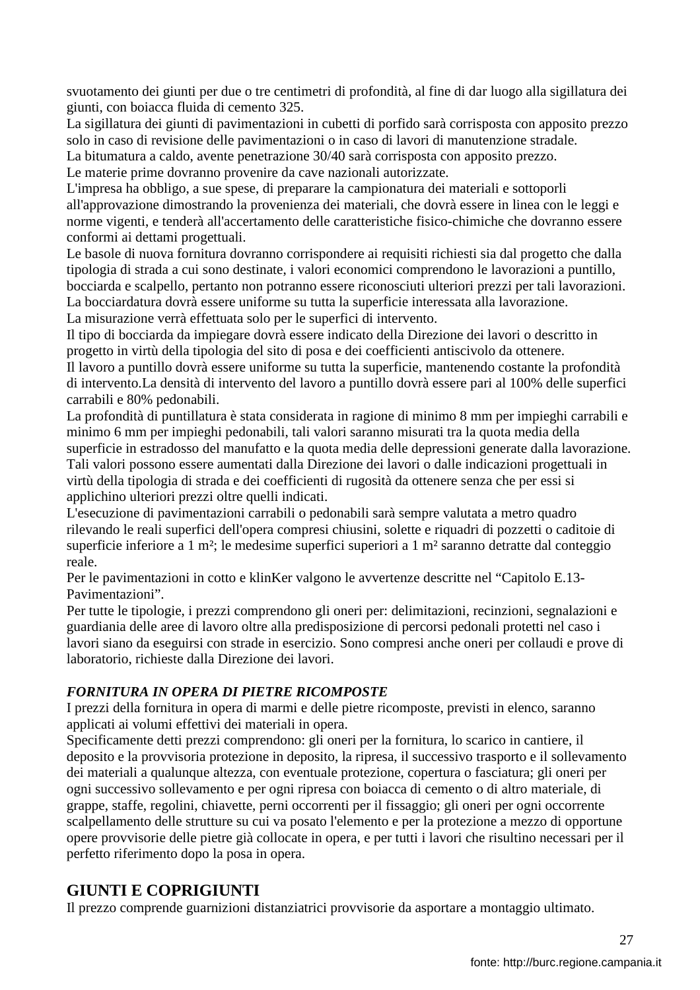svuotamento dei giunti per due o tre centimetri di profondità, al fine di dar luogo alla sigillatura dei giunti, con boiacca fluida di cemento 325.

La sigillatura dei giunti di pavimentazioni in cubetti di porfido sarà corrisposta con apposito prezzo solo in caso di revisione delle pavimentazioni o in caso di lavori di manutenzione stradale.

La bitumatura a caldo, avente penetrazione 30/40 sarà corrisposta con apposito prezzo.

Le materie prime dovranno provenire da cave nazionali autorizzate.

L'impresa ha obbligo, a sue spese, di preparare la campionatura dei materiali e sottoporli all'approvazione dimostrando la provenienza dei materiali, che dovrà essere in linea con le leggi e norme vigenti, e tenderà all'accertamento delle caratteristiche fisico-chimiche che dovranno essere conformi ai dettami progettuali.

Le basole di nuova fornitura dovranno corrispondere ai requisiti richiesti sia dal progetto che dalla tipologia di strada a cui sono destinate, i valori economici comprendono le lavorazioni a puntillo, bocciarda e scalpello, pertanto non potranno essere riconosciuti ulteriori prezzi per tali lavorazioni. La bocciardatura dovrà essere uniforme su tutta la superficie interessata alla lavorazione. La misurazione verrà effettuata solo per le superfici di intervento.

Il tipo di bocciarda da impiegare dovrà essere indicato della Direzione dei lavori o descritto in progetto in virtù della tipologia del sito di posa e dei coefficienti antiscivolo da ottenere.

Il lavoro a puntillo dovrà essere uniforme su tutta la superficie, mantenendo costante la profondità di intervento.La densità di intervento del lavoro a puntillo dovrà essere pari al 100% delle superfici carrabili e 80% pedonabili.

La profondità di puntillatura è stata considerata in ragione di minimo 8 mm per impieghi carrabili e minimo 6 mm per impieghi pedonabili, tali valori saranno misurati tra la quota media della superficie in estradosso del manufatto e la quota media delle depressioni generate dalla lavorazione. Tali valori possono essere aumentati dalla Direzione dei lavori o dalle indicazioni progettuali in virtù della tipologia di strada e dei coefficienti di rugosità da ottenere senza che per essi si applichino ulteriori prezzi oltre quelli indicati.

L'esecuzione di pavimentazioni carrabili o pedonabili sarà sempre valutata a metro quadro rilevando le reali superfici dell'opera compresi chiusini, solette e riquadri di pozzetti o caditoie di superficie inferiore a 1 m<sup>2</sup>; le medesime superfici superiori a 1 m<sup>2</sup> saranno detratte dal conteggio reale.

Per le pavimentazioni in cotto e klinKer valgono le avvertenze descritte nel "Capitolo E.13- Pavimentazioni".

Per tutte le tipologie, i prezzi comprendono gli oneri per: delimitazioni, recinzioni, segnalazioni e guardiania delle aree di lavoro oltre alla predisposizione di percorsi pedonali protetti nel caso i lavori siano da eseguirsi con strade in esercizio. Sono compresi anche oneri per collaudi e prove di laboratorio, richieste dalla Direzione dei lavori.

### *FORNITURA IN OPERA DI PIETRE RICOMPOSTE*

I prezzi della fornitura in opera di marmi e delle pietre ricomposte, previsti in elenco, saranno applicati ai volumi effettivi dei materiali in opera.

Specificamente detti prezzi comprendono: gli oneri per la fornitura, lo scarico in cantiere, il deposito e la provvisoria protezione in deposito, la ripresa, il successivo trasporto e il sollevamento dei materiali a qualunque altezza, con eventuale protezione, copertura o fasciatura; gli oneri per ogni successivo sollevamento e per ogni ripresa con boiacca di cemento o di altro materiale, di grappe, staffe, regolini, chiavette, perni occorrenti per il fissaggio; gli oneri per ogni occorrente scalpellamento delle strutture su cui va posato l'elemento e per la protezione a mezzo di opportune opere provvisorie delle pietre già collocate in opera, e per tutti i lavori che risultino necessari per il perfetto riferimento dopo la posa in opera.

### **GIUNTI E COPRIGIUNTI**

Il prezzo comprende guarnizioni distanziatrici provvisorie da asportare a montaggio ultimato.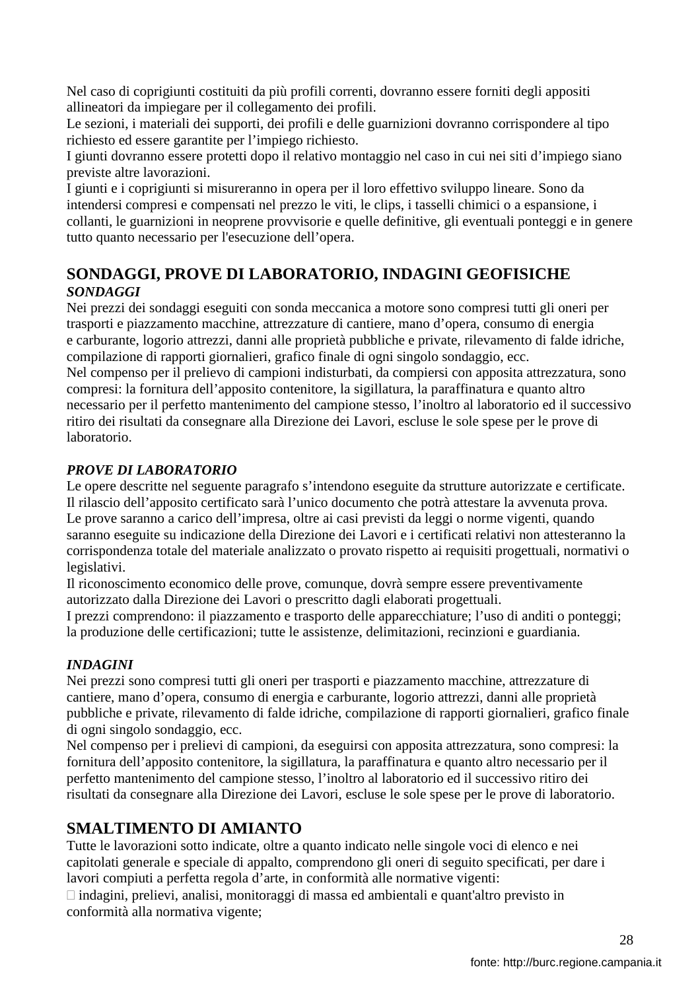Nel caso di coprigiunti costituiti da più profili correnti, dovranno essere forniti degli appositi allineatori da impiegare per il collegamento dei profili.

Le sezioni, i materiali dei supporti, dei profili e delle guarnizioni dovranno corrispondere al tipo richiesto ed essere garantite per l'impiego richiesto.

I giunti dovranno essere protetti dopo il relativo montaggio nel caso in cui nei siti d'impiego siano previste altre lavorazioni.

I giunti e i coprigiunti si misureranno in opera per il loro effettivo sviluppo lineare. Sono da intendersi compresi e compensati nel prezzo le viti, le clips, i tasselli chimici o a espansione, i collanti, le guarnizioni in neoprene provvisorie e quelle definitive, gli eventuali ponteggi e in genere tutto quanto necessario per l'esecuzione dell'opera.

## **SONDAGGI, PROVE DI LABORATORIO, INDAGINI GEOFISICHE** *SONDAGGI*

Nei prezzi dei sondaggi eseguiti con sonda meccanica a motore sono compresi tutti gli oneri per trasporti e piazzamento macchine, attrezzature di cantiere, mano d'opera, consumo di energia e carburante, logorio attrezzi, danni alle proprietà pubbliche e private, rilevamento di falde idriche, compilazione di rapporti giornalieri, grafico finale di ogni singolo sondaggio, ecc. Nel compenso per il prelievo di campioni indisturbati, da compiersi con apposita attrezzatura, sono compresi: la fornitura dell'apposito contenitore, la sigillatura, la paraffinatura e quanto altro necessario per il perfetto mantenimento del campione stesso, l'inoltro al laboratorio ed il successivo ritiro dei risultati da consegnare alla Direzione dei Lavori, escluse le sole spese per le prove di

### *PROVE DI LABORATORIO*

Le opere descritte nel seguente paragrafo s'intendono eseguite da strutture autorizzate e certificate. Il rilascio dell'apposito certificato sarà l'unico documento che potrà attestare la avvenuta prova. Le prove saranno a carico dell'impresa, oltre ai casi previsti da leggi o norme vigenti, quando saranno eseguite su indicazione della Direzione dei Lavori e i certificati relativi non attesteranno la corrispondenza totale del materiale analizzato o provato rispetto ai requisiti progettuali, normativi o legislativi.

Il riconoscimento economico delle prove, comunque, dovrà sempre essere preventivamente autorizzato dalla Direzione dei Lavori o prescritto dagli elaborati progettuali.

I prezzi comprendono: il piazzamento e trasporto delle apparecchiature; l'uso di anditi o ponteggi; la produzione delle certificazioni; tutte le assistenze, delimitazioni, recinzioni e guardiania.

#### *INDAGINI*

laboratorio.

Nei prezzi sono compresi tutti gli oneri per trasporti e piazzamento macchine, attrezzature di cantiere, mano d'opera, consumo di energia e carburante, logorio attrezzi, danni alle proprietà pubbliche e private, rilevamento di falde idriche, compilazione di rapporti giornalieri, grafico finale di ogni singolo sondaggio, ecc.

Nel compenso per i prelievi di campioni, da eseguirsi con apposita attrezzatura, sono compresi: la fornitura dell'apposito contenitore, la sigillatura, la paraffinatura e quanto altro necessario per il perfetto mantenimento del campione stesso, l'inoltro al laboratorio ed il successivo ritiro dei risultati da consegnare alla Direzione dei Lavori, escluse le sole spese per le prove di laboratorio.

### **SMALTIMENTO DI AMIANTO**

Tutte le lavorazioni sotto indicate, oltre a quanto indicato nelle singole voci di elenco e nei capitolati generale e speciale di appalto, comprendono gli oneri di seguito specificati, per dare i lavori compiuti a perfetta regola d'arte, in conformità alle normative vigenti:

 indagini, prelievi, analisi, monitoraggi di massa ed ambientali e quant'altro previsto in conformità alla normativa vigente;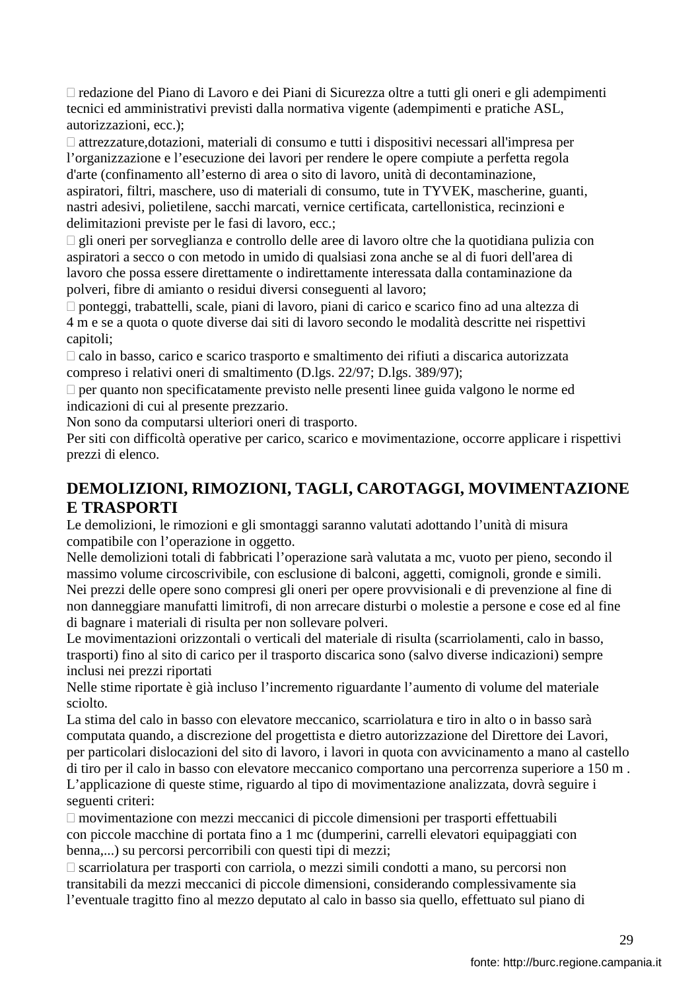redazione del Piano di Lavoro e dei Piani di Sicurezza oltre a tutti gli oneri e gli adempimenti tecnici ed amministrativi previsti dalla normativa vigente (adempimenti e pratiche ASL, autorizzazioni, ecc.);

 attrezzature,dotazioni, materiali di consumo e tutti i dispositivi necessari all'impresa per l'organizzazione e l'esecuzione dei lavori per rendere le opere compiute a perfetta regola d'arte (confinamento all'esterno di area o sito di lavoro, unità di decontaminazione, aspiratori, filtri, maschere, uso di materiali di consumo, tute in TYVEK, mascherine, guanti, nastri adesivi, polietilene, sacchi marcati, vernice certificata, cartellonistica, recinzioni e delimitazioni previste per le fasi di lavoro, ecc.;

 gli oneri per sorveglianza e controllo delle aree di lavoro oltre che la quotidiana pulizia con aspiratori a secco o con metodo in umido di qualsiasi zona anche se al di fuori dell'area di lavoro che possa essere direttamente o indirettamente interessata dalla contaminazione da polveri, fibre di amianto o residui diversi conseguenti al lavoro;

 ponteggi, trabattelli, scale, piani di lavoro, piani di carico e scarico fino ad una altezza di 4 m e se a quota o quote diverse dai siti di lavoro secondo le modalità descritte nei rispettivi capitoli;

 calo in basso, carico e scarico trasporto e smaltimento dei rifiuti a discarica autorizzata compreso i relativi oneri di smaltimento (D.lgs. 22/97; D.lgs. 389/97);

 per quanto non specificatamente previsto nelle presenti linee guida valgono le norme ed indicazioni di cui al presente prezzario.

Non sono da computarsi ulteriori oneri di trasporto.

Per siti con difficoltà operative per carico, scarico e movimentazione, occorre applicare i rispettivi prezzi di elenco.

### **DEMOLIZIONI, RIMOZIONI, TAGLI, CAROTAGGI, MOVIMENTAZIONE E TRASPORTI**

Le demolizioni, le rimozioni e gli smontaggi saranno valutati adottando l'unità di misura compatibile con l'operazione in oggetto.

Nelle demolizioni totali di fabbricati l'operazione sarà valutata a mc, vuoto per pieno, secondo il massimo volume circoscrivibile, con esclusione di balconi, aggetti, comignoli, gronde e simili. Nei prezzi delle opere sono compresi gli oneri per opere provvisionali e di prevenzione al fine di non danneggiare manufatti limitrofi, di non arrecare disturbi o molestie a persone e cose ed al fine di bagnare i materiali di risulta per non sollevare polveri.

Le movimentazioni orizzontali o verticali del materiale di risulta (scarriolamenti, calo in basso, trasporti) fino al sito di carico per il trasporto discarica sono (salvo diverse indicazioni) sempre inclusi nei prezzi riportati

Nelle stime riportate è già incluso l'incremento riguardante l'aumento di volume del materiale sciolto.

La stima del calo in basso con elevatore meccanico, scarriolatura e tiro in alto o in basso sarà computata quando, a discrezione del progettista e dietro autorizzazione del Direttore dei Lavori, per particolari dislocazioni del sito di lavoro, i lavori in quota con avvicinamento a mano al castello di tiro per il calo in basso con elevatore meccanico comportano una percorrenza superiore a 150 m . L'applicazione di queste stime, riguardo al tipo di movimentazione analizzata, dovrà seguire i seguenti criteri:

 movimentazione con mezzi meccanici di piccole dimensioni per trasporti effettuabili con piccole macchine di portata fino a 1 mc (dumperini, carrelli elevatori equipaggiati con benna,...) su percorsi percorribili con questi tipi di mezzi;

 scarriolatura per trasporti con carriola, o mezzi simili condotti a mano, su percorsi non transitabili da mezzi meccanici di piccole dimensioni, considerando complessivamente sia l'eventuale tragitto fino al mezzo deputato al calo in basso sia quello, effettuato sul piano di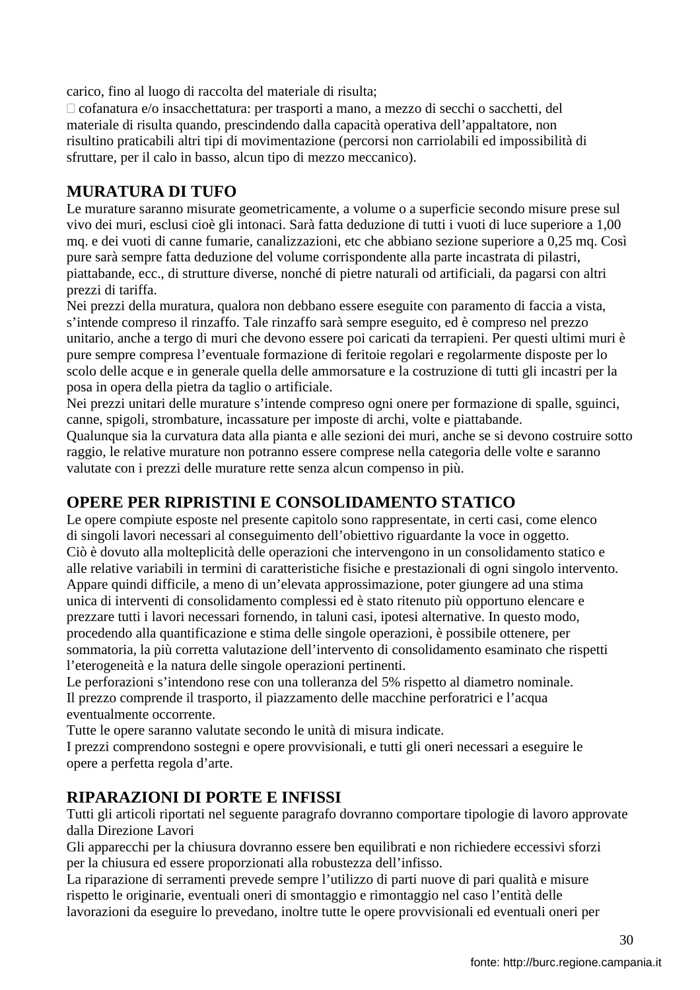carico, fino al luogo di raccolta del materiale di risulta;

 cofanatura e/o insacchettatura: per trasporti a mano, a mezzo di secchi o sacchetti, del materiale di risulta quando, prescindendo dalla capacità operativa dell'appaltatore, non risultino praticabili altri tipi di movimentazione (percorsi non carriolabili ed impossibilità di sfruttare, per il calo in basso, alcun tipo di mezzo meccanico).

### **MURATURA DI TUFO**

Le murature saranno misurate geometricamente, a volume o a superficie secondo misure prese sul vivo dei muri, esclusi cioè gli intonaci. Sarà fatta deduzione di tutti i vuoti di luce superiore a 1,00 mq. e dei vuoti di canne fumarie, canalizzazioni, etc che abbiano sezione superiore a 0,25 mq. Così pure sarà sempre fatta deduzione del volume corrispondente alla parte incastrata di pilastri, piattabande, ecc., di strutture diverse, nonché di pietre naturali od artificiali, da pagarsi con altri prezzi di tariffa.

Nei prezzi della muratura, qualora non debbano essere eseguite con paramento di faccia a vista, s'intende compreso il rinzaffo. Tale rinzaffo sarà sempre eseguito, ed è compreso nel prezzo unitario, anche a tergo di muri che devono essere poi caricati da terrapieni. Per questi ultimi muri è pure sempre compresa l'eventuale formazione di feritoie regolari e regolarmente disposte per lo scolo delle acque e in generale quella delle ammorsature e la costruzione di tutti gli incastri per la posa in opera della pietra da taglio o artificiale.

Nei prezzi unitari delle murature s'intende compreso ogni onere per formazione di spalle, sguinci, canne, spigoli, strombature, incassature per imposte di archi, volte e piattabande.

Qualunque sia la curvatura data alla pianta e alle sezioni dei muri, anche se si devono costruire sotto raggio, le relative murature non potranno essere comprese nella categoria delle volte e saranno valutate con i prezzi delle murature rette senza alcun compenso in più.

## **OPERE PER RIPRISTINI E CONSOLIDAMENTO STATICO**

Le opere compiute esposte nel presente capitolo sono rappresentate, in certi casi, come elenco di singoli lavori necessari al conseguimento dell'obiettivo riguardante la voce in oggetto. Ciò è dovuto alla molteplicità delle operazioni che intervengono in un consolidamento statico e alle relative variabili in termini di caratteristiche fisiche e prestazionali di ogni singolo intervento. Appare quindi difficile, a meno di un'elevata approssimazione, poter giungere ad una stima unica di interventi di consolidamento complessi ed è stato ritenuto più opportuno elencare e prezzare tutti i lavori necessari fornendo, in taluni casi, ipotesi alternative. In questo modo, procedendo alla quantificazione e stima delle singole operazioni, è possibile ottenere, per sommatoria, la più corretta valutazione dell'intervento di consolidamento esaminato che rispetti l'eterogeneità e la natura delle singole operazioni pertinenti.

Le perforazioni s'intendono rese con una tolleranza del 5% rispetto al diametro nominale. Il prezzo comprende il trasporto, il piazzamento delle macchine perforatrici e l'acqua eventualmente occorrente.

Tutte le opere saranno valutate secondo le unità di misura indicate.

I prezzi comprendono sostegni e opere provvisionali, e tutti gli oneri necessari a eseguire le opere a perfetta regola d'arte.

### **RIPARAZIONI DI PORTE E INFISSI**

Tutti gli articoli riportati nel seguente paragrafo dovranno comportare tipologie di lavoro approvate dalla Direzione Lavori

Gli apparecchi per la chiusura dovranno essere ben equilibrati e non richiedere eccessivi sforzi per la chiusura ed essere proporzionati alla robustezza dell'infisso.

La riparazione di serramenti prevede sempre l'utilizzo di parti nuove di pari qualità e misure rispetto le originarie, eventuali oneri di smontaggio e rimontaggio nel caso l'entità delle lavorazioni da eseguire lo prevedano, inoltre tutte le opere provvisionali ed eventuali oneri per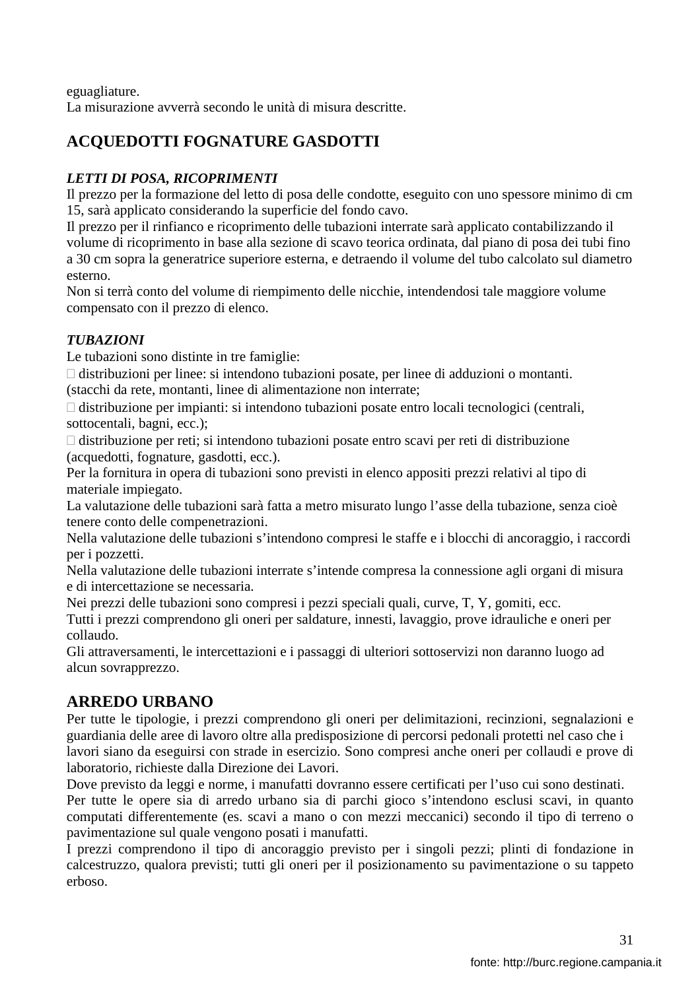eguagliature. La misurazione avverrà secondo le unità di misura descritte.

# **ACQUEDOTTI FOGNATURE GASDOTTI**

# *LETTI DI POSA, RICOPRIMENTI*

Il prezzo per la formazione del letto di posa delle condotte, eseguito con uno spessore minimo di cm 15, sarà applicato considerando la superficie del fondo cavo.

Il prezzo per il rinfianco e ricoprimento delle tubazioni interrate sarà applicato contabilizzando il volume di ricoprimento in base alla sezione di scavo teorica ordinata, dal piano di posa dei tubi fino a 30 cm sopra la generatrice superiore esterna, e detraendo il volume del tubo calcolato sul diametro esterno.

Non si terrà conto del volume di riempimento delle nicchie, intendendosi tale maggiore volume compensato con il prezzo di elenco.

### *TUBAZIONI*

Le tubazioni sono distinte in tre famiglie:

 distribuzioni per linee: si intendono tubazioni posate, per linee di adduzioni o montanti. (stacchi da rete, montanti, linee di alimentazione non interrate;

 distribuzione per impianti: si intendono tubazioni posate entro locali tecnologici (centrali, sottocentali, bagni, ecc.);

 distribuzione per reti; si intendono tubazioni posate entro scavi per reti di distribuzione (acquedotti, fognature, gasdotti, ecc.).

Per la fornitura in opera di tubazioni sono previsti in elenco appositi prezzi relativi al tipo di materiale impiegato.

La valutazione delle tubazioni sarà fatta a metro misurato lungo l'asse della tubazione, senza cioè tenere conto delle compenetrazioni.

Nella valutazione delle tubazioni s'intendono compresi le staffe e i blocchi di ancoraggio, i raccordi per i pozzetti.

Nella valutazione delle tubazioni interrate s'intende compresa la connessione agli organi di misura e di intercettazione se necessaria.

Nei prezzi delle tubazioni sono compresi i pezzi speciali quali, curve, T, Y, gomiti, ecc.

Tutti i prezzi comprendono gli oneri per saldature, innesti, lavaggio, prove idrauliche e oneri per collaudo.

Gli attraversamenti, le intercettazioni e i passaggi di ulteriori sottoservizi non daranno luogo ad alcun sovrapprezzo.

# **ARREDO URBANO**

Per tutte le tipologie, i prezzi comprendono gli oneri per delimitazioni, recinzioni, segnalazioni e guardiania delle aree di lavoro oltre alla predisposizione di percorsi pedonali protetti nel caso che i lavori siano da eseguirsi con strade in esercizio. Sono compresi anche oneri per collaudi e prove di laboratorio, richieste dalla Direzione dei Lavori.

Dove previsto da leggi e norme, i manufatti dovranno essere certificati per l'uso cui sono destinati. Per tutte le opere sia di arredo urbano sia di parchi gioco s'intendono esclusi scavi, in quanto computati differentemente (es. scavi a mano o con mezzi meccanici) secondo il tipo di terreno o pavimentazione sul quale vengono posati i manufatti.

I prezzi comprendono il tipo di ancoraggio previsto per i singoli pezzi; plinti di fondazione in calcestruzzo, qualora previsti; tutti gli oneri per il posizionamento su pavimentazione o su tappeto erboso.